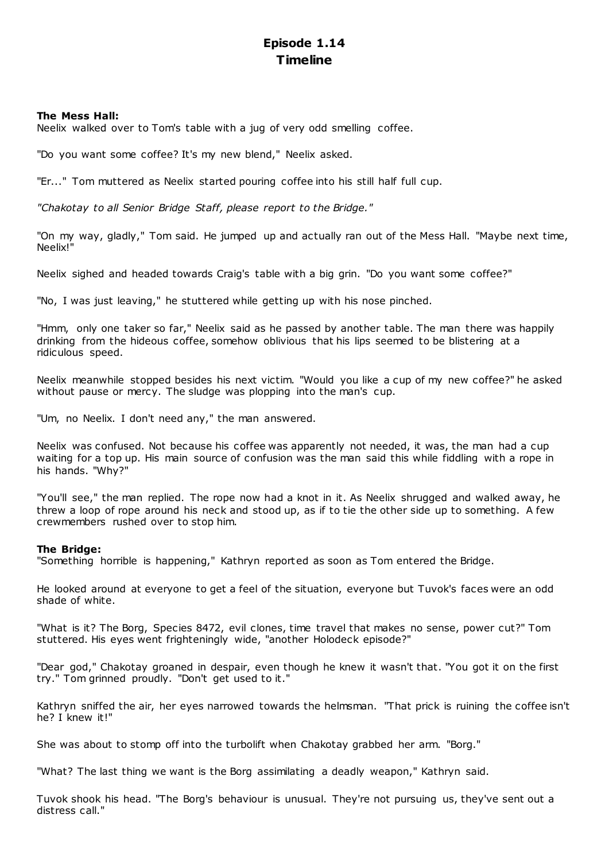# **Episode 1.14 Timeline**

# **The Mess Hall:**

Neelix walked over to Tom's table with a jug of very odd smelling coffee.

"Do you want some coffee? It's my new blend," Neelix asked.

"Er..." Tom muttered as Neelix started pouring coffee into his still half full cup.

*"Chakotay to all Senior Bridge Staff, please report to the Bridge."*

"On my way, gladly," Tom said. He jumped up and actually ran out of the Mess Hall. "Maybe next time, Neelix!"

Neelix sighed and headed towards Craig's table with a big grin. "Do you want some coffee?"

"No, I was just leaving," he stuttered while getting up with his nose pinched.

"Hmm, only one taker so far," Neelix said as he passed by another table. The man there was happily drinking from the hideous coffee, somehow oblivious that his lips seemed to be blistering at a ridiculous speed.

Neelix meanwhile stopped besides his next victim. "Would you like a cup of my new coffee?" he asked without pause or mercy. The sludge was plopping into the man's cup.

"Um, no Neelix. I don't need any," the man answered.

Neelix was confused. Not because his coffee was apparently not needed, it was, the man had a cup waiting for a top up. His main source of confusion was the man said this while fiddling with a rope in his hands. "Why?"

"You'll see," the man replied. The rope now had a knot in it. As Neelix shrugged and walked away, he threw a loop of rope around his neck and stood up, as if to tie the other side up to something. A few crewmembers rushed over to stop him.

## **The Bridge:**

"Something horrible is happening," Kathryn reported as soon as Tom entered the Bridge.

He looked around at everyone to get a feel of the situation, everyone but Tuvok's faces were an odd shade of white.

"What is it? The Borg, Species 8472, evil clones, time travel that makes no sense, power cut?" Tom stuttered. His eyes went frighteningly wide, "another Holodeck episode?"

"Dear god," Chakotay groaned in despair, even though he knew it wasn't that. "You got it on the first try." Tom grinned proudly. "Don't get used to it."

Kathryn sniffed the air, her eyes narrowed towards the helmsman. "That prick is ruining the coffee isn't he? I knew it!"

She was about to stomp off into the turbolift when Chakotay grabbed her arm. "Borg."

"What? The last thing we want is the Borg assimilating a deadly weapon," Kathryn said.

Tuvok shook his head. "The Borg's behaviour is unusual. They're not pursuing us, they've sent out a distress call."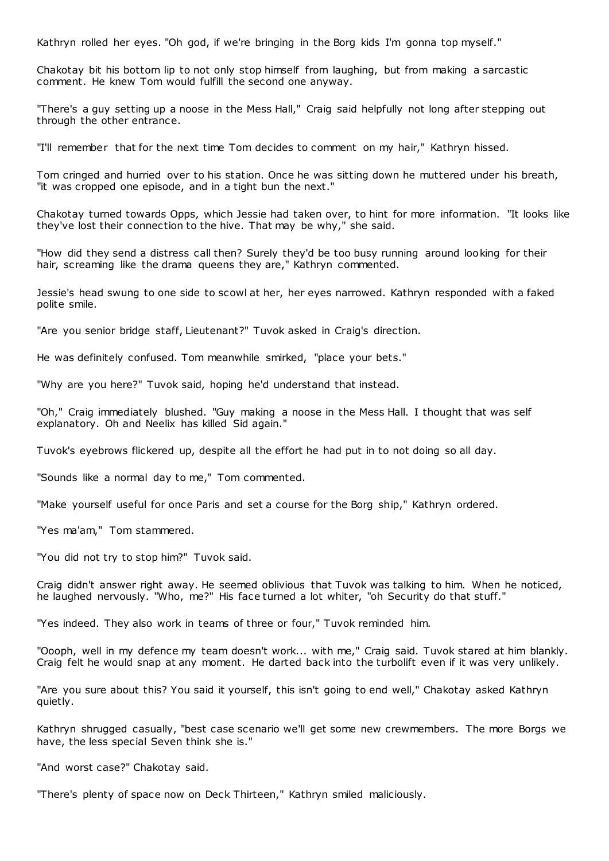Kathryn rolled her eyes. "Oh god, if we're bringing in the Borg kids I'm gonna top myself."

Chakotay bit his bottom lip to not only stop himself from laughing, but from making a sarcastic comment. He knew Tom would fulfill the second one anyway.

"There's a guy setting up a noose in the Mess Hall," Craig said helpfully not long after stepping out through the other entrance.

"I'll remember that for the next time Tom decides to comment on my hair," Kathryn hissed.

Tom cringed and hurried over to his station. Once he was sitting down he muttered under his breath, "it was cropped one episode, and in a tight bun the next."

Chakotay turned towards Opps, which Jessie had taken over, to hint for more information. "It looks like they've lost their connection to the hive. That may be why," she said.

"How did they send a distress call then? Surely they'd be too busy running around looking for their hair, screaming like the drama queens they are." Kathryn commented.

Jessie's head swung to one side to scowl at her, her eyes narrowed. Kathryn responded with a faked polite smile.

"Are you senior bridge staff, Lieutenant?" Tuvok asked in Craig's direction.

He was definitely confused. Tom meanwhile smirked, "place your bets."

"Why are you here?" Tuvok said, hoping he'd understand that instead.

"Oh," Craig immediately blushed. "Guy making a noose in the Mess Hall. I thought that was self explanatory. Oh and Neelix has killed Sid again."

Tuvok's eyebrows flickered up, despite all the effort he had put in to not doing so all day.

"Sounds like a normal day to me," Tom commented.

"Make yourself useful for once Paris and set a course for the Borg ship," Kathryn ordered.

"Yes ma'am," Tom stammered.

"You did not try to stop him?" Tuvok said.

Craig didn't answer right away. He seemed oblivious that Tuvok was talking to him. When he noticed, he laughed nervously. "Who, me?" His face turned a lot whiter, "oh Security do that stuff."

"Yes indeed. They also work in teams of three or four," Tuvok reminded him.

"Oooph, well in my defence my team doesn't work... with me," Craig said. Tuvok stared at him blankly. Craig felt he would snap at any moment. He darted back into the turbolift even if it was very unlikely.

"Are you sure about this? You said it yourself, this isn't going to end well," Chakotay asked Kathryn quietly.

Kathryn shrugged casually, "best case scenario we'll get some new crewmembers. The more Borgs we have, the less special Seven think she is."

"And worst case?" Chakotay said.

"There's plenty of space now on Deck Thirteen," Kathryn smiled maliciously.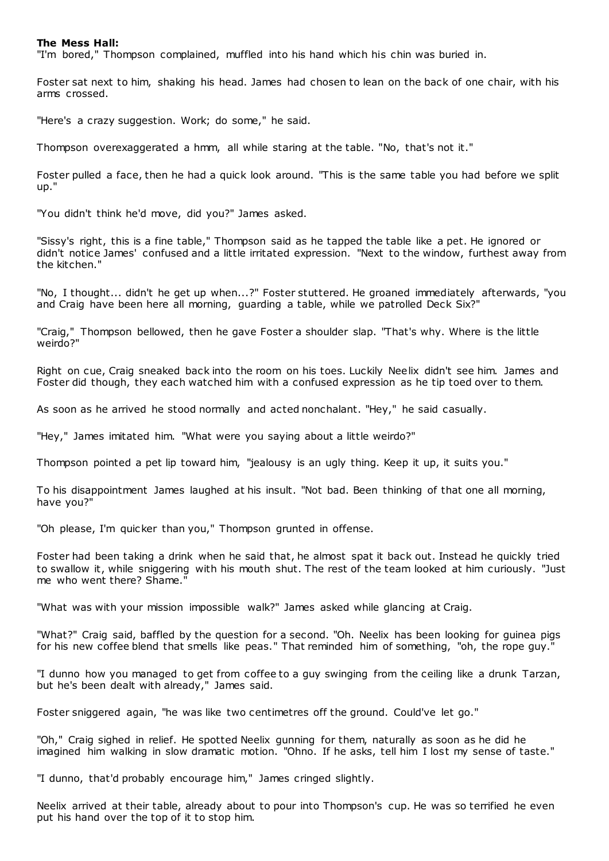#### **The Mess Hall:**

"I'm bored," Thompson complained, muffled into his hand which his chin was buried in.

Foster sat next to him, shaking his head. James had chosen to lean on the back of one chair, with his arms crossed.

"Here's a crazy suggestion. Work; do some," he said.

Thompson overexaggerated a hmm, all while staring at the table. "No, that's not it."

Foster pulled a face, then he had a quick look around. "This is the same table you had before we split up."

"You didn't think he'd move, did you?" James asked.

"Sissy's right, this is a fine table," Thompson said as he tapped the table like a pet. He ignored or didn't notice James' confused and a little irritated expression. "Next to the window, furthest away from the kitchen."

"No, I thought... didn't he get up when...?" Foster stuttered. He groaned immediately afterwards, "you and Craig have been here all morning, quarding a table, while we patrolled Deck Six?

"Craig," Thompson bellowed, then he gave Foster a shoulder slap. "That's why. Where is the little weirdo?"

Right on cue, Craig sneaked back into the room on his toes. Luckily Neelix didn't see him. James and Foster did though, they each watched him with a confused expression as he tip toed over to them.

As soon as he arrived he stood normally and acted nonchalant. "Hey," he said casually.

"Hey," James imitated him. "What were you saying about a little weirdo?"

Thompson pointed a pet lip toward him, "jealousy is an ugly thing. Keep it up, it suits you."

To his disappointment James laughed at his insult. "Not bad. Been thinking of that one all morning, have you?"

"Oh please, I'm quicker than you," Thompson grunted in offense.

Foster had been taking a drink when he said that, he almost spat it back out. Instead he quickly tried to swallow it, while sniggering with his mouth shut. The rest of the team looked at him curiously. "Just me who went there? Shame."

"What was with your mission impossible walk?" James asked while glancing at Craig.

"What?" Craig said, baffled by the question for a second. "Oh. Neelix has been looking for guinea pigs for his new coffee blend that smells like peas." That reminded him of something, "oh, the rope guy."

"I dunno how you managed to get from coffee to a guy swinging from the ceiling like a drunk Tarzan, but he's been dealt with already," James said.

Foster sniggered again, "he was like two centimetres off the ground. Could've let go."

"Oh," Craig sighed in relief. He spotted Neelix gunning for them, naturally as soon as he did he imagined him walking in slow dramatic motion. "Ohno. If he asks, tell him I lost my sense of taste."

"I dunno, that'd probably encourage him," James cringed slightly.

Neelix arrived at their table, already about to pour into Thompson's cup. He was so terrified he even put his hand over the top of it to stop him.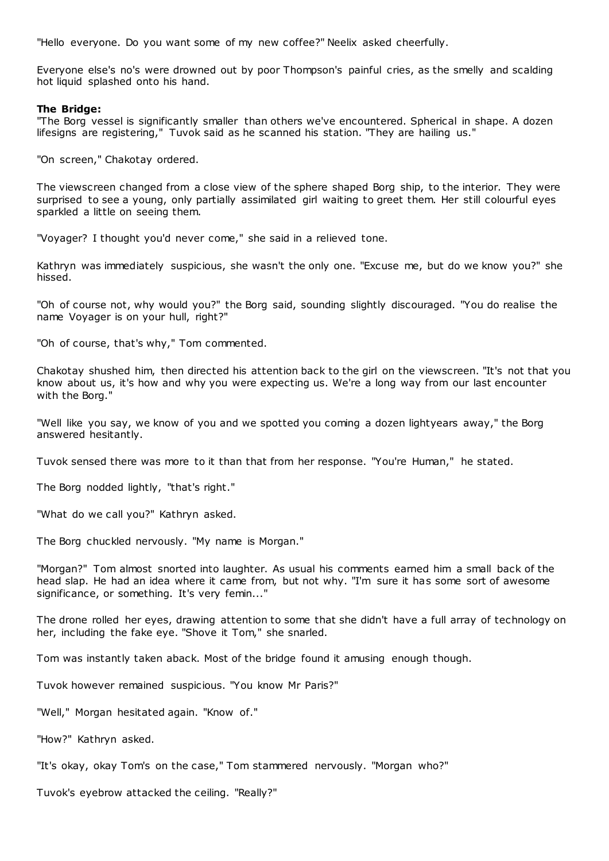"Hello everyone. Do you want some of my new coffee?" Neelix asked cheerfully.

Everyone else's no's were drowned out by poor Thompson's painful cries, as the smelly and scalding hot liquid splashed onto his hand.

## **The Bridge:**

"The Borg vessel is significantly smaller than others we've encountered. Spherical in shape. A dozen lifesigns are registering," Tuvok said as he scanned his station. "They are hailing us."

"On screen," Chakotay ordered.

The viewscreen changed from a close view of the sphere shaped Borg ship, to the interior. They were surprised to see a young, only partially assimilated girl waiting to greet them. Her still colourful eyes sparkled a little on seeing them.

"Voyager? I thought you'd never come," she said in a relieved tone.

Kathryn was immediately suspicious, she wasn't the only one. "Excuse me, but do we know you?" she hissed.

"Oh of course not, why would you?" the Borg said, sounding slightly discouraged. "You do realise the name Voyager is on your hull, right?"

"Oh of course, that's why," Tom commented.

Chakotay shushed him, then directed his attention back to the girl on the viewscreen. "It's not that you know about us, it's how and why you were expecting us. We're a long way from our last encounter with the Borg."

"Well like you say, we know of you and we spotted you coming a dozen lightyears away," the Borg answered hesitantly.

Tuvok sensed there was more to it than that from her response. "You're Human," he stated.

The Borg nodded lightly, "that's right."

"What do we call you?" Kathryn asked.

The Borg chuckled nervously. "My name is Morgan."

"Morgan?" Tom almost snorted into laughter. As usual his comments earned him a small back of the head slap. He had an idea where it came from, but not why. "I'm sure it has some sort of awesome significance, or something. It's very femin..."

The drone rolled her eyes, drawing attention to some that she didn't have a full array of technology on her, including the fake eye. "Shove it Tom," she snarled.

Tom was instantly taken aback. Most of the bridge found it amusing enough though.

Tuvok however remained suspicious. "You know Mr Paris?"

"Well," Morgan hesitated again. "Know of."

"How?" Kathryn asked.

"It's okay, okay Tom's on the case," Tom stammered nervously. "Morgan who?"

Tuvok's eyebrow attacked the ceiling. "Really?"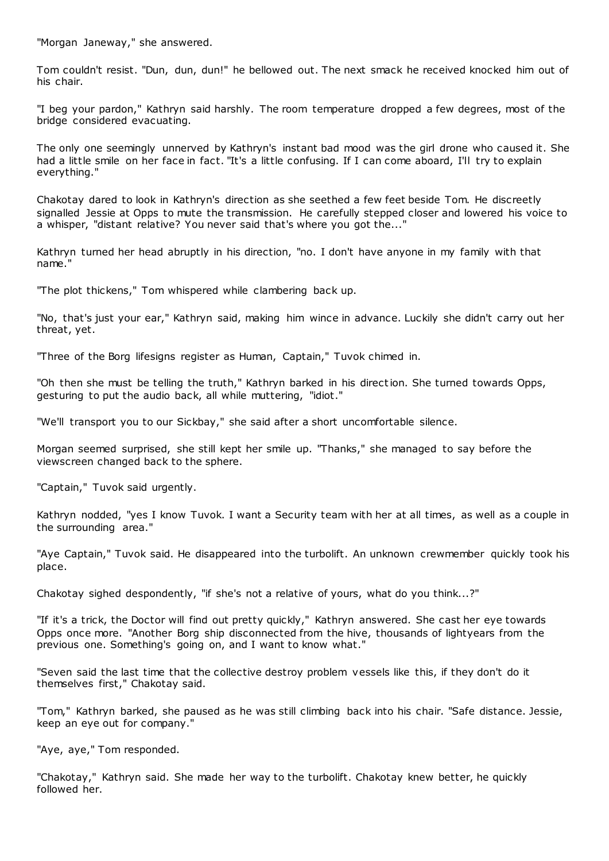"Morgan Janeway," she answered.

Tom couldn't resist. "Dun, dun, dun!" he bellowed out. The next smack he received knocked him out of his chair.

"I beg your pardon," Kathryn said harshly. The room temperature dropped a few degrees, most of the bridge considered evacuating.

The only one seemingly unnerved by Kathryn's instant bad mood was the girl drone who caused it. She had a little smile on her face in fact. "It's a little confusing. If I can come aboard, I'll try to explain everything."

Chakotay dared to look in Kathryn's direction as she seethed a few feet beside Tom. He discreetly signalled Jessie at Opps to mute the transmission. He carefully stepped closer and lowered his voice to a whisper, "distant relative? You never said that's where you got the..."

Kathryn turned her head abruptly in his direction, "no. I don't have anyone in my family with that name."

"The plot thickens," Tom whispered while clambering back up.

"No, that's just your ear," Kathryn said, making him wince in advance. Luckily she didn't carry out her threat, yet.

"Three of the Borg lifesigns register as Human, Captain," Tuvok chimed in.

"Oh then she must be telling the truth," Kathryn barked in his direction. She turned towards Opps, gesturing to put the audio back, all while muttering, "idiot."

"We'll transport you to our Sickbay," she said after a short uncomfortable silence.

Morgan seemed surprised, she still kept her smile up. "Thanks," she managed to say before the viewscreen changed back to the sphere.

"Captain," Tuvok said urgently.

Kathryn nodded, "yes I know Tuvok. I want a Security team with her at all times, as well as a couple in the surrounding area."

"Aye Captain," Tuvok said. He disappeared into the turbolift. An unknown crewmember quickly took his place.

Chakotay sighed despondently, "if she's not a relative of yours, what do you think...?"

"If it's a trick, the Doctor will find out pretty quickly," Kathryn answered. She cast her eye towards Opps once more. "Another Borg ship disconnected from the hive, thousands of lightyears from the previous one. Something's going on, and I want to know what."

"Seven said the last time that the collective destroy problem vessels like this, if they don't do it themselves first," Chakotay said.

"Tom," Kathryn barked, she paused as he was still climbing back into his chair. "Safe distance. Jessie, keep an eye out for company."

"Aye, aye," Tom responded.

"Chakotay," Kathryn said. She made her way to the turbolift. Chakotay knew better, he quickly followed her.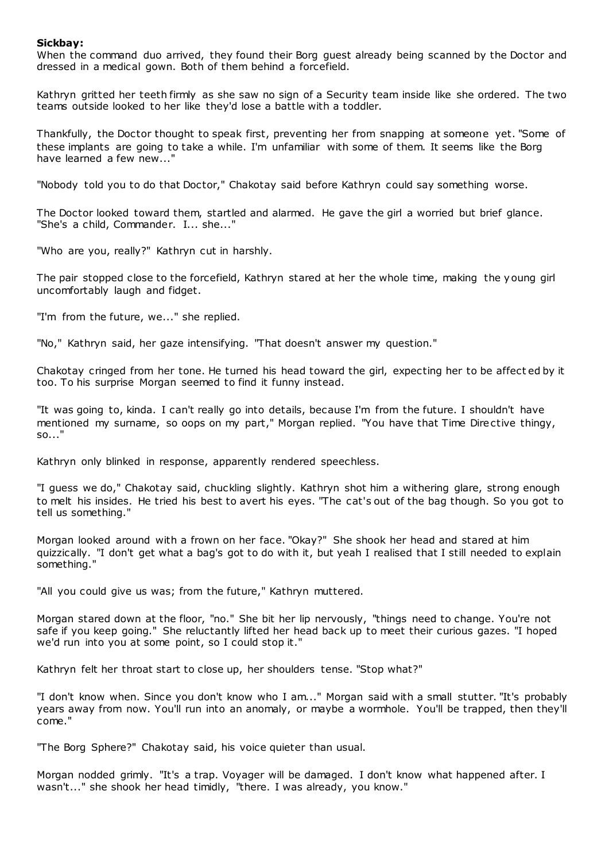# **Sickbay:**

When the command duo arrived, they found their Borg guest already being scanned by the Doctor and dressed in a medical gown. Both of them behind a forcefield.

Kathryn gritted her teeth firmly as she saw no sign of a Security team inside like she ordered. The two teams outside looked to her like they'd lose a battle with a toddler.

Thankfully, the Doctor thought to speak first, preventing her from snapping at someone yet. "Some of these implants are going to take a while. I'm unfamiliar with some of them. It seems like the Borg have learned a few new..."

"Nobody told you to do that Doctor," Chakotay said before Kathryn could say something worse.

The Doctor looked toward them, startled and alarmed. He gave the girl a worried but brief glance. "She's a child, Commander. I... she..."

"Who are you, really?" Kathryn cut in harshly.

The pair stopped close to the forcefield, Kathryn stared at her the whole time, making the young girl uncomfortably laugh and fidget.

"I'm from the future, we..." she replied.

"No," Kathryn said, her gaze intensifying. "That doesn't answer my question."

Chakotay cringed from her tone. He turned his head toward the girl, expecting her to be affect ed by it too. To his surprise Morgan seemed to find it funny instead.

"It was going to, kinda. I can't really go into details, because I'm from the future. I shouldn't have mentioned my surname, so oops on my part," Morgan replied. "You have that Time Directive thingy, so..."

Kathryn only blinked in response, apparently rendered speechless.

"I guess we do," Chakotay said, chuckling slightly. Kathryn shot him a withering glare, strong enough to melt his insides. He tried his best to avert his eyes. "The cat's out of the bag though. So you got to tell us something."

Morgan looked around with a frown on her face. "Okay?" She shook her head and stared at him quizzically. "I don't get what a bag's got to do with it, but yeah I realised that I still needed to explain something."

"All you could give us was; from the future," Kathryn muttered.

Morgan stared down at the floor, "no." She bit her lip nervously, "things need to change. You're not safe if you keep going." She reluctantly lifted her head back up to meet their curious gazes. "I hoped we'd run into you at some point, so I could stop it."

Kathryn felt her throat start to close up, her shoulders tense. "Stop what?"

"I don't know when. Since you don't know who I am..." Morgan said with a small stutter. "It's probably years away from now. You'll run into an anomaly, or maybe a wormhole. You'll be trapped, then they'll come."

"The Borg Sphere?" Chakotay said, his voice quieter than usual.

Morgan nodded grimly. "It's a trap. Voyager will be damaged. I don't know what happened after. I wasn't..." she shook her head timidly, "there. I was already, you know."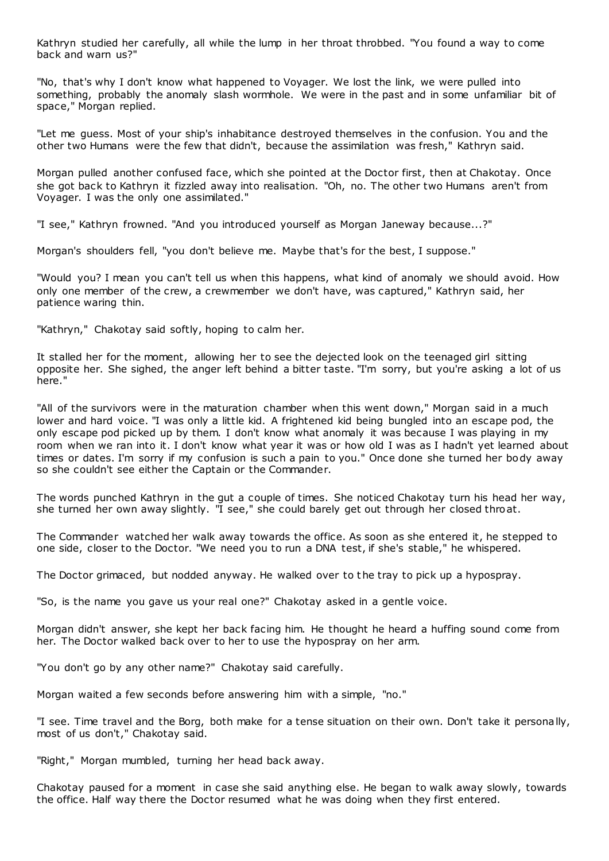Kathryn studied her carefully, all while the lump in her throat throbbed. "You found a way to come back and warn us?"

"No, that's why I don't know what happened to Voyager. We lost the link, we were pulled into something, probably the anomaly slash wormhole. We were in the past and in some unfamiliar bit of space," Morgan replied.

"Let me guess. Most of your ship's inhabitance destroyed themselves in the confusion. You and the other two Humans were the few that didn't, because the assimilation was fresh," Kathryn said.

Morgan pulled another confused face, which she pointed at the Doctor first, then at Chakotay. Once she got back to Kathryn it fizzled away into realisation. "Oh, no. The other two Humans aren't from Voyager. I was the only one assimilated."

"I see," Kathryn frowned. "And you introduced yourself as Morgan Janeway because...?"

Morgan's shoulders fell, "you don't believe me. Maybe that's for the best, I suppose."

"Would you? I mean you can't tell us when this happens, what kind of anomaly we should avoid. How only one member of the crew, a crewmember we don't have, was captured," Kathryn said, her patience waring thin.

"Kathryn," Chakotay said softly, hoping to calm her.

It stalled her for the moment, allowing her to see the dejected look on the teenaged girl sitting opposite her. She sighed, the anger left behind a bitter taste. "I'm sorry, but you're asking a lot of us here."

"All of the survivors were in the maturation chamber when this went down," Morgan said in a much lower and hard voice. "I was only a little kid. A frightened kid being bungled into an escape pod, the only escape pod picked up by them. I don't know what anomaly it was because I was playing in my room when we ran into it. I don't know what year it was or how old I was as I hadn't yet learned about times or dates. I'm sorry if my confusion is such a pain to you." Once done she turned her body away so she couldn't see either the Captain or the Commander.

The words punched Kathryn in the gut a couple of times. She noticed Chakotay turn his head her way, she turned her own away slightly. "I see," she could barely get out through her closed throat.

The Commander watched her walk away towards the office. As soon as she entered it, he stepped to one side, closer to the Doctor. "We need you to run a DNA test, if she's stable," he whispered.

The Doctor grimaced, but nodded anyway. He walked over to the tray to pick up a hypospray.

"So, is the name you gave us your real one?" Chakotay asked in a gentle voice.

Morgan didn't answer, she kept her back facing him. He thought he heard a huffing sound come from her. The Doctor walked back over to her to use the hypospray on her arm.

"You don't go by any other name?" Chakotay said carefully.

Morgan waited a few seconds before answering him with a simple, "no."

"I see. Time travel and the Borg, both make for a tense situation on their own. Don't take it personally, most of us don't," Chakotay said.

"Right," Morgan mumbled, turning her head back away.

Chakotay paused for a moment in case she said anything else. He began to walk away slowly, towards the office. Half way there the Doctor resumed what he was doing when they first entered.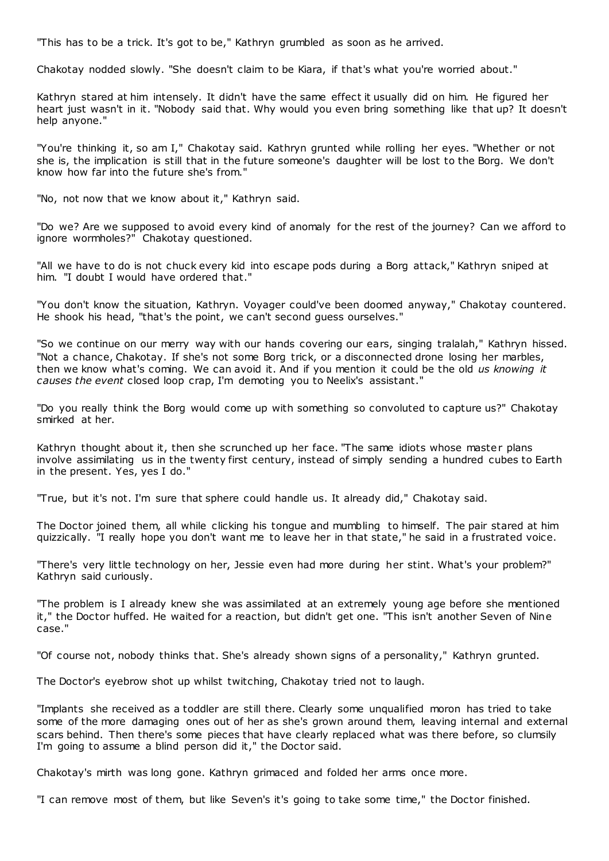"This has to be a trick. It's got to be," Kathryn grumbled as soon as he arrived.

Chakotay nodded slowly. "She doesn't claim to be Kiara, if that's what you're worried about."

Kathryn stared at him intensely. It didn't have the same effect it usually did on him. He figured her heart just wasn't in it. "Nobody said that. Why would you even bring something like that up? It doesn't help anyone."

"You're thinking it, so am I," Chakotay said. Kathryn grunted while rolling her eyes. "Whether or not she is, the implication is still that in the future someone's daughter will be lost to the Borg. We don't know how far into the future she's from."

"No, not now that we know about it," Kathryn said.

"Do we? Are we supposed to avoid every kind of anomaly for the rest of the journey? Can we afford to ignore wormholes?" Chakotay questioned.

"All we have to do is not chuck every kid into escape pods during a Borg attack," Kathryn sniped at him. "I doubt I would have ordered that."

"You don't know the situation, Kathryn. Voyager could've been doomed anyway," Chakotay countered. He shook his head, "that's the point, we can't second guess ourselves."

"So we continue on our merry way with our hands covering our ears, singing tralalah," Kathryn hissed. "Not a chance, Chakotay. If she's not some Borg trick, or a disconnected drone losing her marbles, then we know what's coming. We can avoid it. And if you mention it could be the old *us knowing it causes the event* closed loop crap, I'm demoting you to Neelix's assistant."

"Do you really think the Borg would come up with something so convoluted to capture us?" Chakotay smirked at her.

Kathryn thought about it, then she scrunched up her face. "The same idiots whose master plans involve assimilating us in the twenty first century, instead of simply sending a hundred cubes to Earth in the present. Yes, yes I do."

"True, but it's not. I'm sure that sphere could handle us. It already did," Chakotay said.

The Doctor joined them, all while clicking his tongue and mumbling to himself. The pair stared at him quizzically. "I really hope you don't want me to leave her in that state," he said in a frustrated voice.

"There's very little technology on her, Jessie even had more during her stint. What's your problem?" Kathryn said curiously.

"The problem is I already knew she was assimilated at an extremely young age before she mentioned it," the Doctor huffed. He waited for a reaction, but didn't get one. "This isn't another Seven of Nine case."

"Of course not, nobody thinks that. She's already shown signs of a personality," Kathryn grunted.

The Doctor's eyebrow shot up whilst twitching, Chakotay tried not to laugh.

"Implants she received as a toddler are still there. Clearly some unqualified moron has tried to take some of the more damaging ones out of her as she's grown around them, leaving internal and external scars behind. Then there's some pieces that have clearly replaced what was there before, so clumsily I'm going to assume a blind person did it," the Doctor said.

Chakotay's mirth was long gone. Kathryn grimaced and folded her arms once more.

"I can remove most of them, but like Seven's it's going to take some time," the Doctor finished.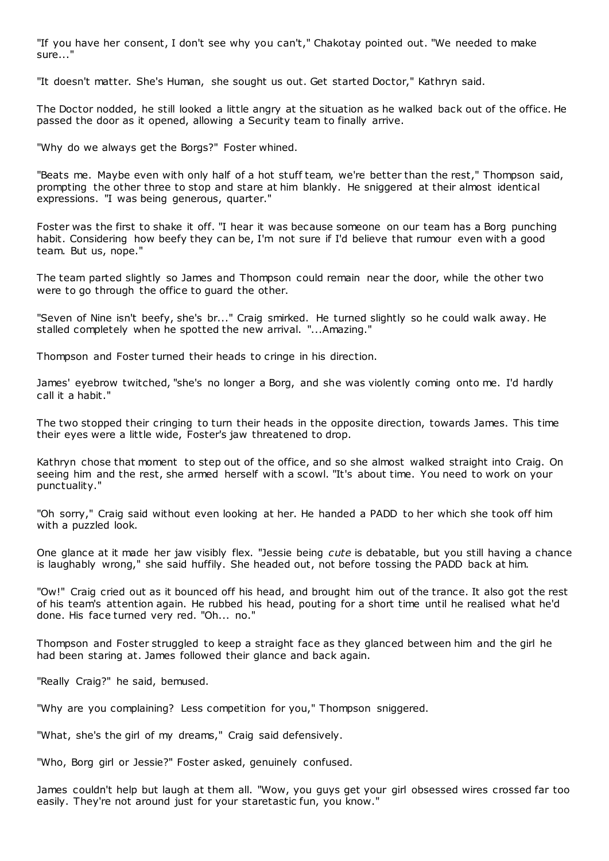"If you have her consent, I don't see why you can't," Chakotay pointed out. "We needed to make sure..."

"It doesn't matter. She's Human, she sought us out. Get started Doctor," Kathryn said.

The Doctor nodded, he still looked a little angry at the situation as he walked back out of the office. He passed the door as it opened, allowing a Security team to finally arrive.

"Why do we always get the Borgs?" Foster whined.

"Beats me. Maybe even with only half of a hot stuff team, we're better than the rest," Thompson said, prompting the other three to stop and stare at him blankly. He sniggered at their almost identical expressions. "I was being generous, quarter."

Foster was the first to shake it off. "I hear it was because someone on our team has a Borg punching habit. Considering how beefy they can be, I'm not sure if I'd believe that rumour even with a good team. But us, nope."

The team parted slightly so James and Thompson could remain near the door, while the other two were to go through the office to guard the other.

"Seven of Nine isn't beefy, she's br..." Craig smirked. He turned slightly so he could walk away. He stalled completely when he spotted the new arrival. "...Amazing."

Thompson and Foster turned their heads to cringe in his direction.

James' eyebrow twitched, "she's no longer a Borg, and she was violently coming onto me. I'd hardly call it a habit."

The two stopped their cringing to turn their heads in the opposite direction, towards James. This time their eyes were a little wide, Foster's jaw threatened to drop.

Kathryn chose that moment to step out of the office, and so she almost walked straight into Craig. On seeing him and the rest, she armed herself with a scowl. "It's about time. You need to work on your punctuality."

"Oh sorry," Craig said without even looking at her. He handed a PADD to her which she took off him with a puzzled look.

One glance at it made her jaw visibly flex. "Jessie being *cute* is debatable, but you still having a chance is laughably wrong," she said huffily. She headed out, not before tossing the PADD back at him.

"Ow!" Craig cried out as it bounced off his head, and brought him out of the trance. It also got the rest of his team's attention again. He rubbed his head, pouting for a short time until he realised what he'd done. His face turned very red. "Oh... no."

Thompson and Foster struggled to keep a straight face as they glanced between him and the girl he had been staring at. James followed their glance and back again.

"Really Craig?" he said, bemused.

"Why are you complaining? Less competition for you," Thompson sniggered.

"What, she's the girl of my dreams," Craig said defensively.

"Who, Borg girl or Jessie?" Foster asked, genuinely confused.

James couldn't help but laugh at them all. "Wow, you guys get your girl obsessed wires crossed far too easily. They're not around just for your staretastic fun, you know."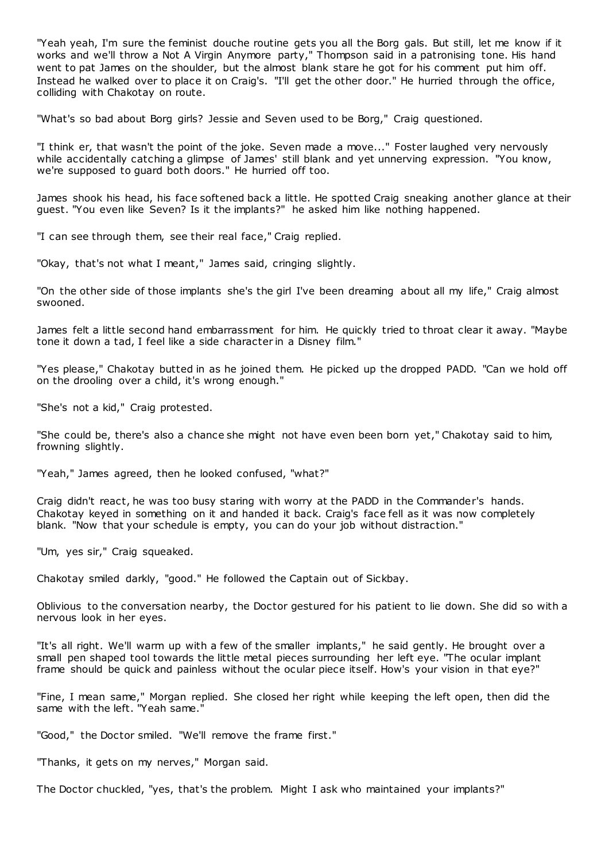"Yeah yeah, I'm sure the feminist douche routine gets you all the Borg gals. But still, let me know if it works and we'll throw a Not A Virgin Anymore party," Thompson said in a patronising tone. His hand went to pat James on the shoulder, but the almost blank stare he got for his comment put him off. Instead he walked over to place it on Craig's. "I'll get the other door." He hurried through the office, colliding with Chakotay on route.

"What's so bad about Borg girls? Jessie and Seven used to be Borg," Craig questioned.

"I think er, that wasn't the point of the joke. Seven made a move..." Foster laughed very nervously while accidentally catching a glimpse of James' still blank and yet unnerving expression. "You know, we're supposed to guard both doors." He hurried off too.

James shook his head, his face softened back a little. He spotted Craig sneaking another glance at their guest. "You even like Seven? Is it the implants?" he asked him like nothing happened.

"I can see through them, see their real face," Craig replied.

"Okay, that's not what I meant," James said, cringing slightly.

"On the other side of those implants she's the girl I've been dreaming about all my life," Craig almost swooned.

James felt a little second hand embarrassment for him. He quickly tried to throat clear it away. "Maybe tone it down a tad, I feel like a side character in a Disney film."

"Yes please," Chakotay butted in as he joined them. He picked up the dropped PADD. "Can we hold off on the drooling over a child, it's wrong enough."

"She's not a kid," Craig protested.

"She could be, there's also a chance she might not have even been born yet," Chakotay said to him, frowning slightly.

"Yeah," James agreed, then he looked confused, "what?"

Craig didn't react, he was too busy staring with worry at the PADD in the Commander's hands. Chakotay keyed in something on it and handed it back. Craig's face fell as it was now completely blank. "Now that your schedule is empty, you can do your job without distraction."

"Um, yes sir," Craig squeaked.

Chakotay smiled darkly, "good." He followed the Captain out of Sickbay.

Oblivious to the conversation nearby, the Doctor gestured for his patient to lie down. She did so with a nervous look in her eyes.

"It's all right. We'll warm up with a few of the smaller implants," he said gently. He brought over a small pen shaped tool towards the little metal pieces surrounding her left eye. "The ocular implant frame should be quick and painless without the ocular piece itself. How's your vision in that eye?"

"Fine, I mean same," Morgan replied. She closed her right while keeping the left open, then did the same with the left. "Yeah same."

"Good," the Doctor smiled. "We'll remove the frame first."

"Thanks, it gets on my nerves," Morgan said.

The Doctor chuckled, "yes, that's the problem. Might I ask who maintained your implants?"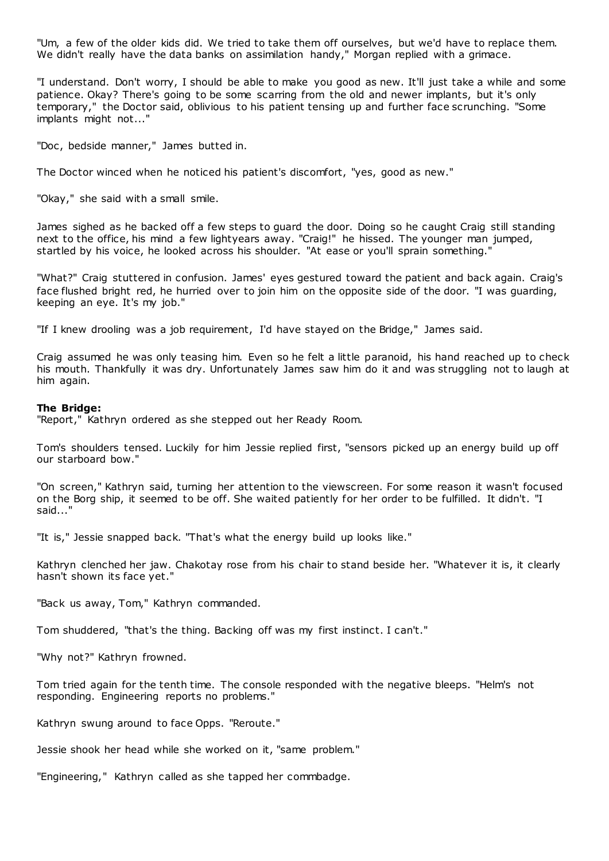"Um, a few of the older kids did. We tried to take them off ourselves, but we'd have to replace them. We didn't really have the data banks on assimilation handy," Morgan replied with a grimace.

"I understand. Don't worry, I should be able to make you good as new. It'll just take a while and some patience. Okay? There's going to be some scarring from the old and newer implants, but it's only temporary," the Doctor said, oblivious to his patient tensing up and further face scrunching. "Some implants might not..."

"Doc , bedside manner," James butted in.

The Doctor winced when he noticed his patient's discomfort, "yes, good as new."

"Okay," she said with a small smile.

James sighed as he backed off a few steps to guard the door. Doing so he caught Craig still standing next to the office, his mind a few lightyears away. "Craig!" he hissed. The younger man jumped, startled by his voice, he looked across his shoulder. "At ease or you'll sprain something."

"What?" Craig stuttered in confusion. James' eyes gestured toward the patient and back again. Craig's face flushed bright red, he hurried over to join him on the opposite side of the door. "I was guarding, keeping an eye. It's my job."

"If I knew drooling was a job requirement, I'd have stayed on the Bridge," James said.

Craig assumed he was only teasing him. Even so he felt a little paranoid, his hand reached up to check his mouth. Thankfully it was dry. Unfortunately James saw him do it and was struggling not to laugh at him again.

## **The Bridge:**

"Report," Kathryn ordered as she stepped out her Ready Room.

Tom's shoulders tensed. Luckily for him Jessie replied first, "sensors picked up an energy build up off our starboard bow."

"On screen," Kathryn said, turning her attention to the viewscreen. For some reason it wasn't focused on the Borg ship, it seemed to be off. She waited patiently for her order to be fulfilled. It didn't. "I said..."

"It is," Jessie snapped back. "That's what the energy build up looks like."

Kathryn clenched her jaw. Chakotay rose from his chair to stand beside her. "Whatever it is, it clearly hasn't shown its face yet."

"Back us away, Tom," Kathryn commanded.

Tom shuddered, "that's the thing. Backing off was my first instinct. I can't."

"Why not?" Kathryn frowned.

Tom tried again for the tenth time. The console responded with the negative bleeps. "Helm's not responding. Engineering reports no problems."

Kathryn swung around to face Opps. "Reroute."

Jessie shook her head while she worked on it, "same problem."

"Engineering," Kathryn called as she tapped her commbadge.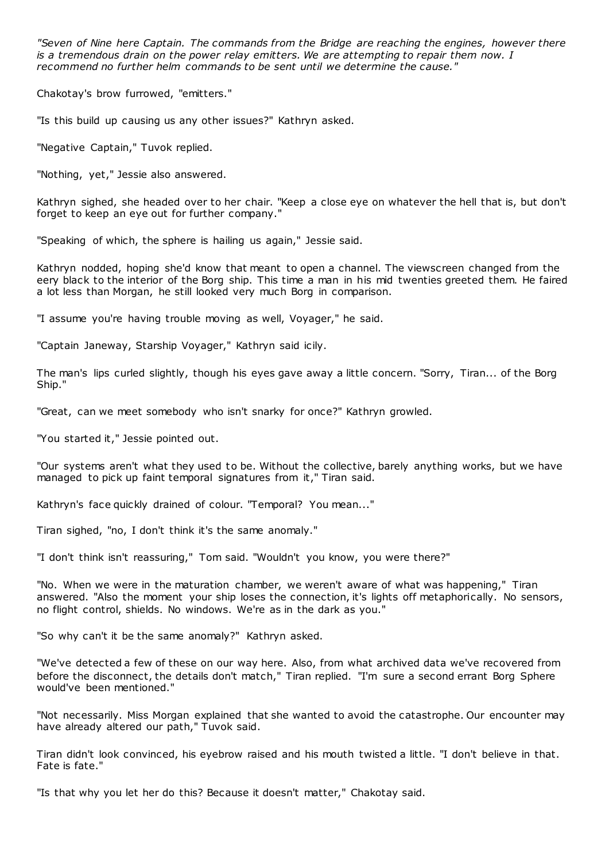*"Seven of Nine here Captain. The commands from the Bridge are reaching the engines, however there is a tremendous drain on the power relay emitters. We are attempting to repair them now. I recommend no further helm commands to be sent until we determine the cause."*

Chakotay's brow furrowed, "emitters."

"Is this build up causing us any other issues?" Kathryn asked.

"Negative Captain," Tuvok replied.

"Nothing, yet," Jessie also answered.

Kathryn sighed, she headed over to her chair. "Keep a close eye on whatever the hell that is, but don't forget to keep an eye out for further company."

"Speaking of which, the sphere is hailing us again," Jessie said.

Kathryn nodded, hoping she'd know that meant to open a channel. The viewscreen changed from the eery black to the interior of the Borg ship. This time a man in his mid twenties greeted them. He faired a lot less than Morgan, he still looked very much Borg in comparison.

"I assume you're having trouble moving as well, Voyager," he said.

"Captain Janeway, Starship Voyager," Kathryn said icily.

The man's lips curled slightly, though his eyes gave away a little concern. "Sorry, Tiran... of the Borg Ship."

"Great, can we meet somebody who isn't snarky for once?" Kathryn growled.

"You started it," Jessie pointed out.

"Our systems aren't what they used to be. Without the collective, barely anything works, but we have managed to pick up faint temporal signatures from it," Tiran said.

Kathryn's face quickly drained of colour. "Temporal? You mean..."

Tiran sighed, "no, I don't think it's the same anomaly."

"I don't think isn't reassuring," Tom said. "Wouldn't you know, you were there?"

"No. When we were in the maturation chamber, we weren't aware of what was happening," Tiran answered. "Also the moment your ship loses the connection, it's lights off metaphorically. No sensors, no flight control, shields. No windows. We're as in the dark as you."

"So why can't it be the same anomaly?" Kathryn asked.

"We've detected a few of these on our way here. Also, from what archived data we've recovered from before the disconnect, the details don't match," Tiran replied. "I'm sure a second errant Borg Sphere would've been mentioned."

"Not necessarily. Miss Morgan explained that she wanted to avoid the catastrophe. Our encounter may have already altered our path," Tuvok said.

Tiran didn't look convinced, his eyebrow raised and his mouth twisted a little. "I don't believe in that. Fate is fate."

"Is that why you let her do this? Because it doesn't matter," Chakotay said.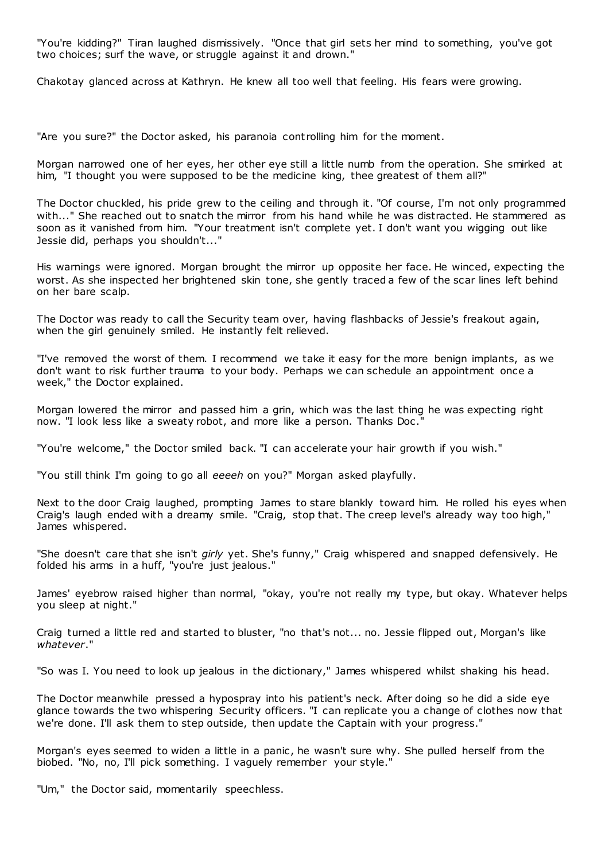"You're kidding?" Tiran laughed dismissively. "Once that girl sets her mind to something, you've got two choices; surf the wave, or struggle against it and drown."

Chakotay glanced across at Kathryn. He knew all too well that feeling. His fears were growing.

"Are you sure?" the Doctor asked, his paranoia cont rolling him for the moment.

Morgan narrowed one of her eyes, her other eye still a little numb from the operation. She smirked at him, "I thought you were supposed to be the medicine king, thee greatest of them all?"

The Doctor chuckled, his pride grew to the ceiling and through it. "Of course, I'm not only programmed with..." She reached out to snatch the mirror from his hand while he was distracted. He stammered as soon as it vanished from him. "Your treatment isn't complete yet. I don't want you wigging out like Jessie did, perhaps you shouldn't..."

His warnings were ignored. Morgan brought the mirror up opposite her face. He winced, expecting the worst. As she inspected her brightened skin tone, she gently traced a few of the scar lines left behind on her bare scalp.

The Doctor was ready to call the Security team over, having flashbacks of Jessie's freakout again, when the girl genuinely smiled. He instantly felt relieved.

"I've removed the worst of them. I recommend we take it easy for the more benign implants, as we don't want to risk further trauma to your body. Perhaps we can schedule an appointment once a week," the Doctor explained.

Morgan lowered the mirror and passed him a grin, which was the last thing he was expecting right now. "I look less like a sweaty robot, and more like a person. Thanks Doc ."

"You're welcome," the Doctor smiled back. "I can accelerate your hair growth if you wish."

"You still think I'm going to go all *eeeeh* on you?" Morgan asked playfully.

Next to the door Craig laughed, prompting James to stare blankly toward him. He rolled his eyes when Craig's laugh ended with a dreamy smile. "Craig, stop that. The creep level's already way too high," James whispered.

"She doesn't care that she isn't *girly* yet. She's funny," Craig whispered and snapped defensively. He folded his arms in a huff, "you're just jealous."

James' eyebrow raised higher than normal, "okay, you're not really my type, but okay. Whatever helps you sleep at night."

Craig turned a little red and started to bluster, "no that's not... no. Jessie flipped out, Morgan's like *whatever*."

"So was I. You need to look up jealous in the dictionary," James whispered whilst shaking his head.

The Doctor meanwhile pressed a hypospray into his patient's neck. After doing so he did a side eye glance towards the two whispering Security officers. "I can replicate you a change of clothes now that we're done. I'll ask them to step outside, then update the Captain with your progress."

Morgan's eyes seemed to widen a little in a panic, he wasn't sure why. She pulled herself from the biobed. "No, no, I'll pick something. I vaguely remember your style."

"Um," the Doctor said, momentarily speechless.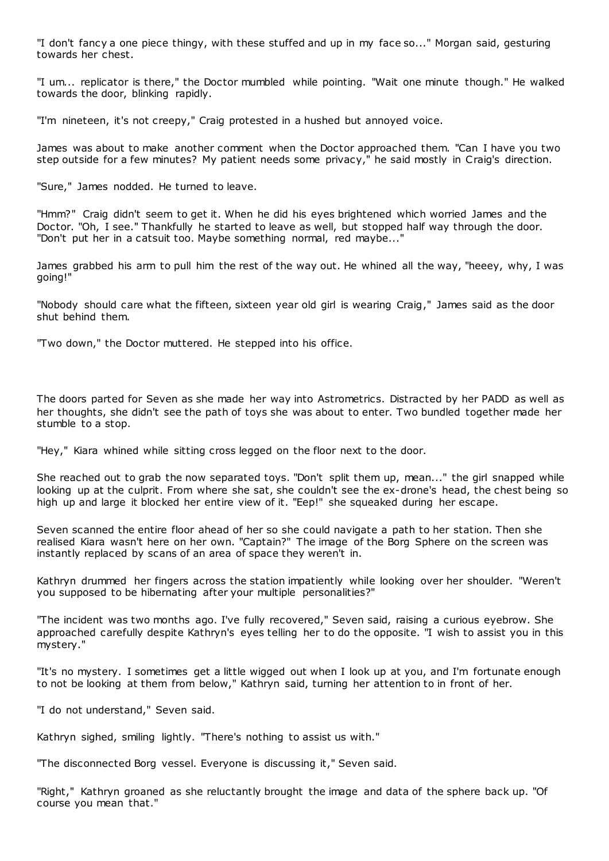"I don't fancy a one piece thingy, with these stuffed and up in my face so..." Morgan said, gesturing towards her chest.

"I um... replicator is there," the Doctor mumbled while pointing. "Wait one minute though." He walked towards the door, blinking rapidly.

"I'm nineteen, it's not creepy," Craig protested in a hushed but annoyed voice.

James was about to make another comment when the Doctor approached them. "Can I have you two step outside for a few minutes? My patient needs some privacy," he said mostly in Craig's direction.

"Sure," James nodded. He turned to leave.

"Hmm?" Craig didn't seem to get it. When he did his eyes brightened which worried James and the Doctor. "Oh, I see." Thankfully he started to leave as well, but stopped half way through the door. "Don't put her in a catsuit too. Maybe something normal, red maybe..."

James grabbed his arm to pull him the rest of the way out. He whined all the way, "heeey, why, I was going!"

"Nobody should care what the fifteen, sixteen year old girl is wearing Craig," James said as the door shut behind them.

"Two down," the Doctor muttered. He stepped into his office.

The doors parted for Seven as she made her way into Astrometrics. Distracted by her PADD as well as her thoughts, she didn't see the path of toys she was about to enter. Two bundled together made her stumble to a stop.

"Hey," Kiara whined while sitting cross legged on the floor next to the door.

She reached out to grab the now separated toys. "Don't split them up, mean..." the girl snapped while looking up at the culprit. From where she sat, she couldn't see the ex-drone's head, the chest being so high up and large it blocked her entire view of it. "Eep!" she squeaked during her escape.

Seven scanned the entire floor ahead of her so she could navigate a path to her station. Then she realised Kiara wasn't here on her own. "Captain?" The image of the Borg Sphere on the screen was instantly replaced by scans of an area of space they weren't in.

Kathryn drummed her fingers across the station impatiently while looking over her shoulder. "Weren't you supposed to be hibernating after your multiple personalities?"

"The incident was two months ago. I've fully recovered," Seven said, raising a curious eyebrow. She approached carefully despite Kathryn's eyes telling her to do the opposite. "I wish to assist you in this mystery."

"It's no mystery. I sometimes get a little wigged out when I look up at you, and I'm fortunate enough to not be looking at them from below," Kathryn said, turning her attention to in front of her.

"I do not understand," Seven said.

Kathryn sighed, smiling lightly. "There's nothing to assist us with."

"The disconnected Borg vessel. Everyone is discussing it," Seven said.

"Right," Kathryn groaned as she reluctantly brought the image and data of the sphere back up. "Of course you mean that."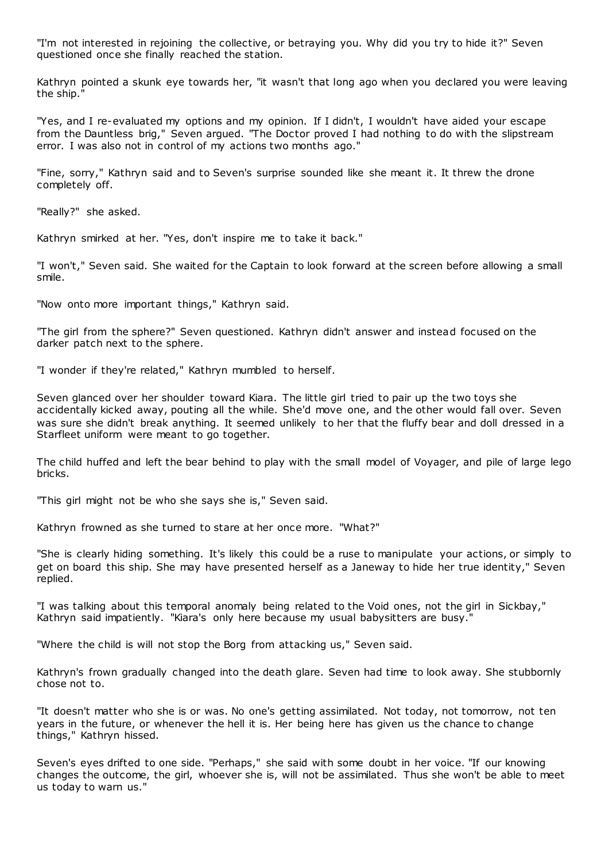"I'm not interested in rejoining the collective, or betraying you. Why did you try to hide it?" Seven questioned once she finally reached the station.

Kathryn pointed a skunk eye towards her, "it wasn't that long ago when you declared you were leaving the ship."

"Yes, and I re-evaluated my options and my opinion. If I didn't, I wouldn't have aided your escape from the Dauntless brig," Seven argued. "The Doctor proved I had nothing to do with the slipstream error. I was also not in control of my actions two months ago."

"Fine, sorry," Kathryn said and to Seven's surprise sounded like she meant it. It threw the drone completely off.

"Really?" she asked.

Kathryn smirked at her. "Yes, don't inspire me to take it back."

"I won't," Seven said. She waited for the Captain to look forward at the screen before allowing a small smile.

"Now onto more important things," Kathryn said.

"The girl from the sphere?" Seven questioned. Kathryn didn't answer and instead focused on the darker patch next to the sphere.

"I wonder if they're related," Kathryn mumbled to herself.

Seven glanced over her shoulder toward Kiara. The little girl tried to pair up the two toys she accidentally kicked away, pouting all the while. She'd move one, and the other would fall over. Seven was sure she didn't break anything. It seemed unlikely to her that the fluffy bear and doll dressed in a Starfleet uniform were meant to go together.

The child huffed and left the bear behind to play with the small model of Voyager, and pile of large lego bricks.

"This girl might not be who she says she is," Seven said.

Kathryn frowned as she turned to stare at her once more. "What?"

"She is clearly hiding something. It's likely this could be a ruse to manipulate your actions, or simply to get on board this ship. She may have presented herself as a Janeway to hide her true identity," Seven replied.

"I was talking about this temporal anomaly being related to the Void ones, not the girl in Sickbay," Kathryn said impatiently. "Kiara's only here because my usual babysitters are busy."

"Where the child is will not stop the Borg from attacking us," Seven said.

Kathryn's frown gradually changed into the death glare. Seven had time to look away. She stubbornly chose not to.

"It doesn't matter who she is or was. No one's getting assimilated. Not today, not tomorrow, not ten years in the future, or whenever the hell it is. Her being here has given us the chance to change things," Kathryn hissed.

Seven's eyes drifted to one side. "Perhaps," she said with some doubt in her voice. "If our knowing changes the outcome, the girl, whoever she is, will not be assimilated. Thus she won't be able to meet us today to warn us."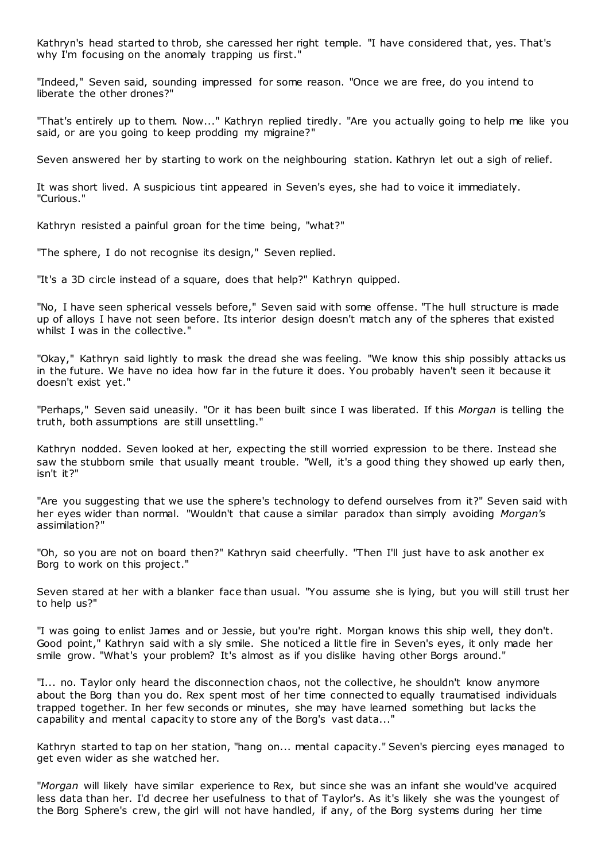Kathryn's head started to throb, she caressed her right temple. "I have considered that, yes. That's why I'm focusing on the anomaly trapping us first."

"Indeed," Seven said, sounding impressed for some reason. "Once we are free, do you intend to liberate the other drones?"

"That's entirely up to them. Now..." Kathryn replied tiredly. "Are you actually going to help me like you said, or are you going to keep prodding my migraine?"

Seven answered her by starting to work on the neighbouring station. Kathryn let out a sigh of relief.

It was short lived. A suspicious tint appeared in Seven's eyes, she had to voice it immediately. "Curious."

Kathryn resisted a painful groan for the time being, "what?"

"The sphere, I do not recognise its design," Seven replied.

"It's a 3D circle instead of a square, does that help?" Kathryn quipped.

"No, I have seen spherical vessels before," Seven said with some offense. "The hull structure is made up of alloys I have not seen before. Its interior design doesn't match any of the spheres that existed whilst I was in the collective."

"Okay," Kathryn said lightly to mask the dread she was feeling. "We know this ship possibly attacks us in the future. We have no idea how far in the future it does. You probably haven't seen it because it doesn't exist yet."

"Perhaps," Seven said uneasily. "Or it has been built since I was liberated. If this *Morgan* is telling the truth, both assumptions are still unsettling."

Kathryn nodded. Seven looked at her, expecting the still worried expression to be there. Instead she saw the stubborn smile that usually meant trouble. "Well, it's a good thing they showed up early then, isn't it?"

"Are you suggesting that we use the sphere's technology to defend ourselves from it?" Seven said with her eyes wider than normal. "Wouldn't that cause a similar paradox than simply avoiding *Morgan's* assimilation?"

"Oh, so you are not on board then?" Kathryn said cheerfully. "Then I'll just have to ask another ex Borg to work on this project."

Seven stared at her with a blanker face than usual. "You assume she is lying, but you will still trust her to help us?"

"I was going to enlist James and or Jessie, but you're right. Morgan knows this ship well, they don't. Good point," Kathryn said with a sly smile. She noticed a little fire in Seven's eyes, it only made her smile grow. "What's your problem? It's almost as if you dislike having other Borgs around."

"I... no. Taylor only heard the disconnection chaos, not the collective, he shouldn't know anymore about the Borg than you do. Rex spent most of her time connected to equally traumatised individuals trapped together. In her few seconds or minutes, she may have learned something but lacks the capability and mental capacity to store any of the Borg's vast data..."

Kathryn started to tap on her station, "hang on... mental capacity." Seven's piercing eyes managed to get even wider as she watched her.

"*Morgan* will likely have similar experience to Rex, but since she was an infant she would've acquired less data than her. I'd decree her usefulness to that of Taylor's. As it's likely she was the youngest of the Borg Sphere's crew, the girl will not have handled, if any, of the Borg systems during her time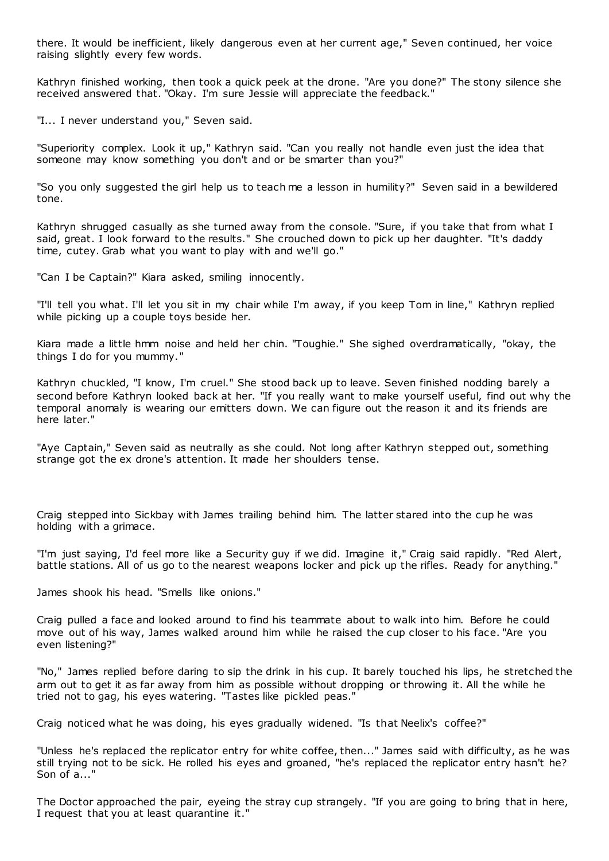there. It would be inefficient, likely dangerous even at her current age," Seven continued, her voice raising slightly every few words.

Kathryn finished working, then took a quick peek at the drone. "Are you done?" The stony silence she received answered that. "Okay. I'm sure Jessie will appreciate the feedback."

"I... I never understand you," Seven said.

"Superiority complex. Look it up," Kathryn said. "Can you really not handle even just the idea that someone may know something you don't and or be smarter than you?"

"So you only suggested the girl help us to teach me a lesson in humility?" Seven said in a bewildered tone.

Kathryn shrugged casually as she turned away from the console. "Sure, if you take that from what I said, great. I look forward to the results." She crouched down to pick up her daughter. "It's daddy time, cutey. Grab what you want to play with and we'll go."

"Can I be Captain?" Kiara asked, smiling innocently.

"I'll tell you what. I'll let you sit in my chair while I'm away, if you keep Tom in line," Kathryn replied while picking up a couple toys beside her.

Kiara made a little hmm noise and held her chin. "Toughie." She sighed overdramatically, "okay, the things I do for you mummy."

Kathryn chuckled, "I know, I'm cruel." She stood back up to leave. Seven finished nodding barely a second before Kathryn looked back at her. "If you really want to make yourself useful, find out why the temporal anomaly is wearing our emitters down. We can figure out the reason it and its friends are here later."

"Aye Captain," Seven said as neutrally as she could. Not long after Kathryn stepped out, something strange got the ex drone's attention. It made her shoulders tense.

Craig stepped into Sickbay with James trailing behind him. The latter stared into the cup he was holding with a grimace.

"I'm just saying, I'd feel more like a Security guy if we did. Imagine it," Craig said rapidly. "Red Alert, battle stations. All of us go to the nearest weapons locker and pick up the rifles. Ready for anything."

James shook his head. "Smells like onions."

Craig pulled a face and looked around to find his teammate about to walk into him. Before he could move out of his way, James walked around him while he raised the cup closer to his face. "Are you even listening?"

"No," James replied before daring to sip the drink in his cup. It barely touched his lips, he stretched the arm out to get it as far away from him as possible without dropping or throwing it. All the while he tried not to gag, his eyes watering. "Tastes like pickled peas."

Craig noticed what he was doing, his eyes gradually widened. "Is that Neelix's coffee?"

"Unless he's replaced the replicator entry for white coffee, then..." James said with difficulty, as he was still trying not to be sick. He rolled his eyes and groaned, "he's replaced the replicator entry hasn't he? Son of a..."

The Doctor approached the pair, eyeing the stray cup strangely. "If you are going to bring that in here, I request that you at least quarantine it."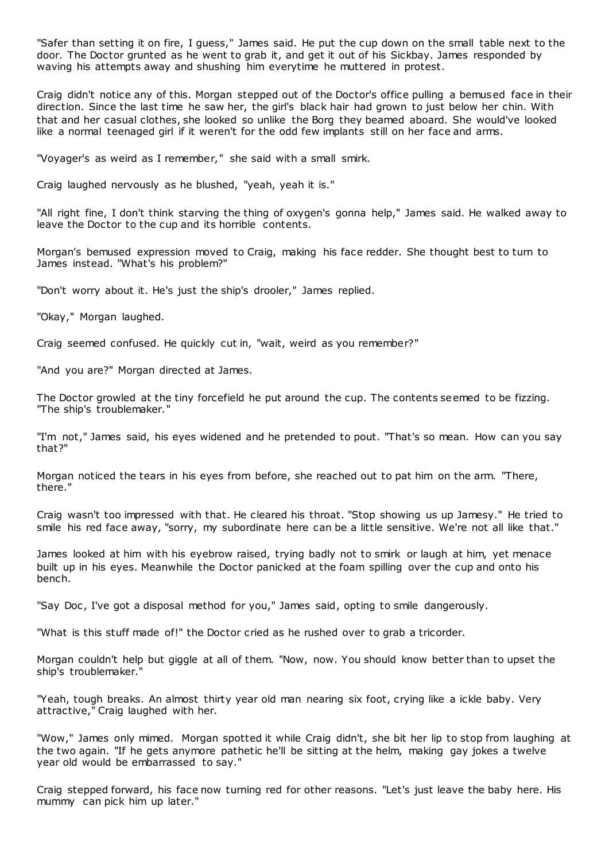"Safer than setting it on fire, I guess," James said. He put the cup down on the small table next to the door. The Doctor grunted as he went to grab it, and get it out of his Sickbay. James responded by waving his attempts away and shushing him everytime he muttered in protest.

Craig didn't notice any of this. Morgan stepped out of the Doctor's office pulling a bemused face in their direction. Since the last time he saw her, the girl's black hair had grown to just below her chin. With that and her casual clothes, she looked so unlike the Borg they beamed aboard. She would've looked like a normal teenaged girl if it weren't for the odd few implants still on her face and arms.

"Voyager's as weird as I remember," she said with a small smirk.

Craig laughed nervously as he blushed, "yeah, yeah it is."

"All right fine, I don't think starving the thing of oxygen's gonna help," James said. He walked away to leave the Doctor to the cup and its horrible contents.

Morgan's bemused expression moved to Craig, making his face redder. She thought best to turn to James instead. "What's his problem?"

"Don't worry about it. He's just the ship's drooler," James replied.

"Okay," Morgan laughed.

Craig seemed confused. He quickly cut in, "wait, weird as you remember?"

"And you are?" Morgan directed at James.

The Doctor growled at the tiny forcefield he put around the cup. The contents seemed to be fizzing. "The ship's troublemaker."

"I'm not," James said, his eyes widened and he pretended to pout. "That's so mean. How can you say that?"

Morgan noticed the tears in his eyes from before, she reached out to pat him on the arm. "There, there."

Craig wasn't too impressed with that. He cleared his throat. "Stop showing us up Jamesy." He tried to smile his red face away, "sorry, my subordinate here can be a little sensitive. We're not all like that."

James looked at him with his eyebrow raised, trying badly not to smirk or laugh at him, yet menace built up in his eyes. Meanwhile the Doctor panicked at the foam spilling over the cup and onto his bench.

"Say Doc, I've got a disposal method for you," James said, opting to smile dangerously.

"What is this stuff made of!" the Doctor cried as he rushed over to grab a tricorder.

Morgan couldn't help but giggle at all of them. "Now, now. You should know better than to upset the ship's troublemaker."

"Yeah, tough breaks. An almost thirty year old man nearing six foot, crying like a ickle baby. Very attractive," Craig laughed with her.

"Wow," James only mimed. Morgan spotted it while Craig didn't, she bit her lip to stop from laughing at the two again. "If he gets anymore pathetic he'll be sitting at the helm, making gay jokes a twelve year old would be embarrassed to say."

Craig stepped forward, his face now turning red for other reasons. "Let's just leave the baby here. His mummy can pick him up later."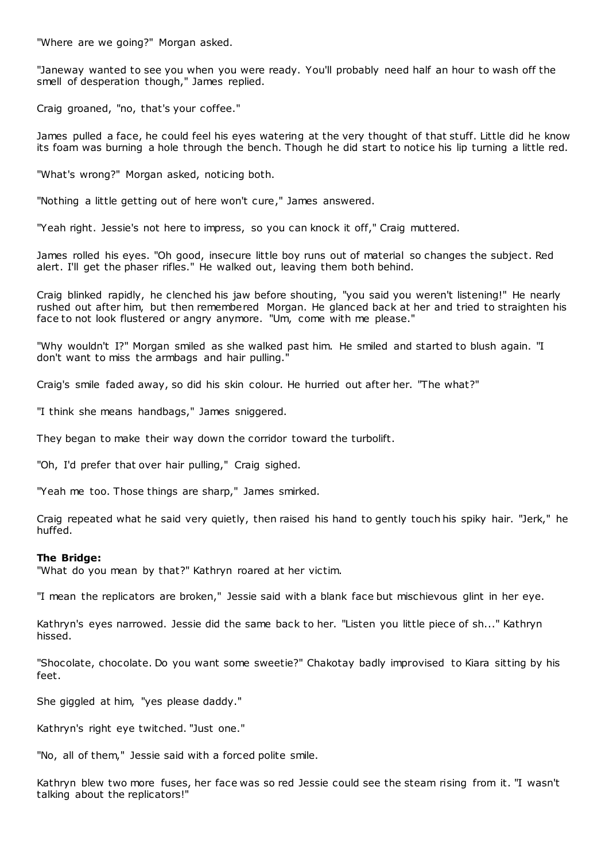"Where are we going?" Morgan asked.

"Janeway wanted to see you when you were ready. You'll probably need half an hour to wash off the smell of desperation though," James replied.

Craig groaned, "no, that's your coffee."

James pulled a face, he could feel his eyes watering at the very thought of that stuff. Little did he know its foam was burning a hole through the bench. Though he did start to notice his lip turning a little red.

"What's wrong?" Morgan asked, noticing both.

"Nothing a little getting out of here won't cure," James answered.

"Yeah right. Jessie's not here to impress, so you can knock it off," Craig muttered.

James rolled his eyes. "Oh good, insecure little boy runs out of material so changes the subject. Red alert. I'll get the phaser rifles." He walked out, leaving them both behind.

Craig blinked rapidly, he clenched his jaw before shouting, "you said you weren't listening!" He nearly rushed out after him, but then remembered Morgan. He glanced back at her and tried to straighten his face to not look flustered or angry anymore. "Um, come with me please."

"Why wouldn't I?" Morgan smiled as she walked past him. He smiled and started to blush again. "I don't want to miss the armbags and hair pulling."

Craig's smile faded away, so did his skin colour. He hurried out after her. "The what?"

"I think she means handbags," James sniggered.

They began to make their way down the corridor toward the turbolift.

"Oh, I'd prefer that over hair pulling," Craig sighed.

"Yeah me too. Those things are sharp," James smirked.

Craig repeated what he said very quietly, then raised his hand to gently touch his spiky hair. "Jerk," he huffed.

#### **The Bridge:**

"What do you mean by that?" Kathryn roared at her victim.

"I mean the replicators are broken," Jessie said with a blank face but mischievous glint in her eye.

Kathryn's eyes narrowed. Jessie did the same back to her. "Listen you little piece of sh..." Kathryn hissed.

"Shocolate, chocolate. Do you want some sweetie?" Chakotay badly improvised to Kiara sitting by his feet.

She giggled at him, "yes please daddy."

Kathryn's right eye twitched. "Just one."

"No, all of them," Jessie said with a forced polite smile.

Kathryn blew two more fuses, her face was so red Jessie could see the steam rising from it. "I wasn't talking about the replicators!"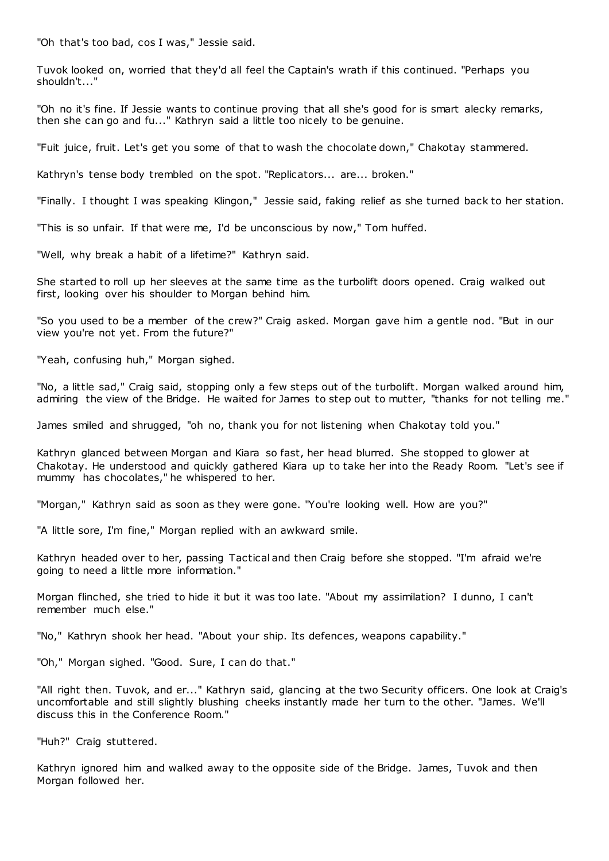"Oh that's too bad, cos I was," Jessie said.

Tuvok looked on, worried that they'd all feel the Captain's wrath if this continued. "Perhaps you shouldn't..."

"Oh no it's fine. If Jessie wants to continue proving that all she's good for is smart alecky remarks, then she can go and fu..." Kathryn said a little too nicely to be genuine.

"Fuit juice, fruit. Let's get you some of that to wash the chocolate down," Chakotay stammered.

Kathryn's tense body trembled on the spot. "Replicators... are... broken."

"Finally. I thought I was speaking Klingon," Jessie said, faking relief as she turned back to her station.

"This is so unfair. If that were me, I'd be unconscious by now," Tom huffed.

"Well, why break a habit of a lifetime?" Kathryn said.

She started to roll up her sleeves at the same time as the turbolift doors opened. Craig walked out first, looking over his shoulder to Morgan behind him.

"So you used to be a member of the crew?" Craig asked. Morgan gave him a gentle nod. "But in our view you're not yet. From the future?"

"Yeah, confusing huh," Morgan sighed.

"No, a little sad," Craig said, stopping only a few steps out of the turbolift. Morgan walked around him, admiring the view of the Bridge. He waited for James to step out to mutter, "thanks for not telling me."

James smiled and shrugged, "oh no, thank you for not listening when Chakotay told you."

Kathryn glanced between Morgan and Kiara so fast, her head blurred. She stopped to glower at Chakotay. He understood and quickly gathered Kiara up to take her into the Ready Room. "Let's see if mummy has chocolates," he whispered to her.

"Morgan," Kathryn said as soon as they were gone. "You're looking well. How are you?"

"A little sore, I'm fine," Morgan replied with an awkward smile.

Kathryn headed over to her, passing Tactical and then Craig before she stopped. "I'm afraid we're going to need a little more information."

Morgan flinched, she tried to hide it but it was too late. "About my assimilation? I dunno, I can't remember much else."

"No," Kathryn shook her head. "About your ship. Its defences, weapons capability."

"Oh," Morgan sighed. "Good. Sure, I can do that."

"All right then. Tuvok, and er..." Kathryn said, glancing at the two Security officers. One look at Craig's uncomfortable and still slightly blushing cheeks instantly made her turn to the other. "James. We'll discuss this in the Conference Room."

"Huh?" Craig stuttered.

Kathryn ignored him and walked away to the opposite side of the Bridge. James, Tuvok and then Morgan followed her.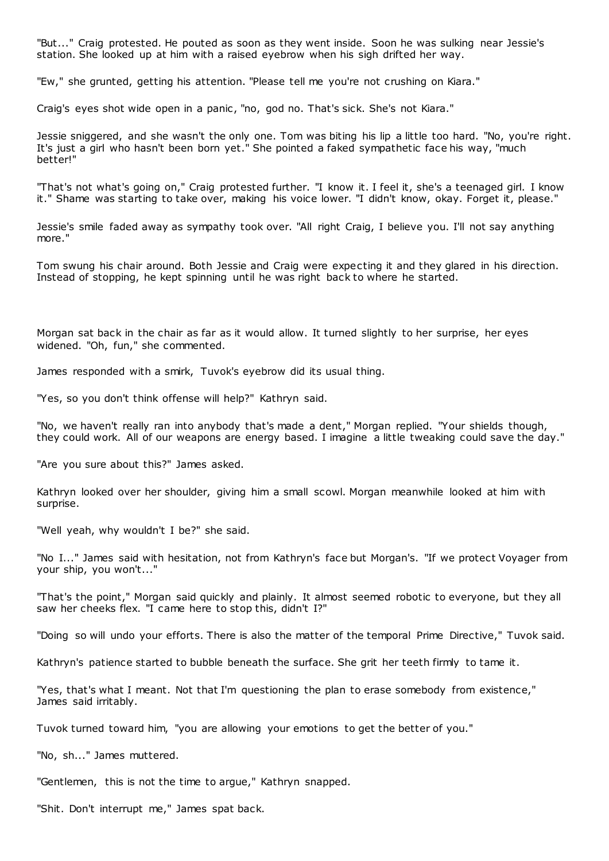"But..." Craig protested. He pouted as soon as they went inside. Soon he was sulking near Jessie's station. She looked up at him with a raised eyebrow when his sigh drifted her way.

"Ew," she grunted, getting his attention. "Please tell me you're not crushing on Kiara."

Craig's eyes shot wide open in a panic , "no, god no. That's sick. She's not Kiara."

Jessie sniggered, and she wasn't the only one. Tom was biting his lip a little too hard. "No, you're right. It's just a girl who hasn't been born yet." She pointed a faked sympathetic face his way, "much better!"

"That's not what's going on," Craig protested further. "I know it. I feel it, she's a teenaged girl. I know it." Shame was starting to take over, making his voice lower. "I didn't know, okay. Forget it, please."

Jessie's smile faded away as sympathy took over. "All right Craig, I believe you. I'll not say anything more."

Tom swung his chair around. Both Jessie and Craig were expecting it and they glared in his direction. Instead of stopping, he kept spinning until he was right back to where he started.

Morgan sat back in the chair as far as it would allow. It turned slightly to her surprise, her eyes widened. "Oh, fun," she commented.

James responded with a smirk, Tuvok's eyebrow did its usual thing.

"Yes, so you don't think offense will help?" Kathryn said.

"No, we haven't really ran into anybody that's made a dent," Morgan replied. "Your shields though, they could work. All of our weapons are energy based. I imagine a little tweaking could save the day."

"Are you sure about this?" James asked.

Kathryn looked over her shoulder, giving him a small scowl. Morgan meanwhile looked at him with surprise.

"Well yeah, why wouldn't I be?" she said.

"No I..." James said with hesitation, not from Kathryn's face but Morgan's. "If we protect Voyager from your ship, you won't..."

"That's the point," Morgan said quickly and plainly. It almost seemed robotic to everyone, but they all saw her cheeks flex. "I came here to stop this, didn't I?"

"Doing so will undo your efforts. There is also the matter of the temporal Prime Directive," Tuvok said.

Kathryn's patience started to bubble beneath the surface. She grit her teeth firmly to tame it.

"Yes, that's what I meant. Not that I'm questioning the plan to erase somebody from existence," James said irritably.

Tuvok turned toward him, "you are allowing your emotions to get the better of you."

"No, sh..." James muttered.

"Gentlemen, this is not the time to argue," Kathryn snapped.

"Shit. Don't interrupt me," James spat back.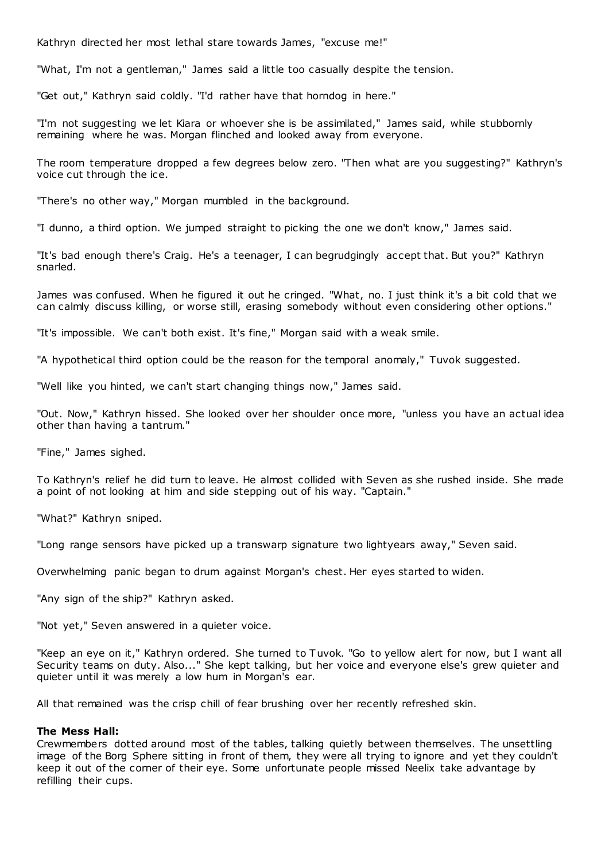Kathryn directed her most lethal stare towards James, "excuse me!"

"What, I'm not a gentleman," James said a little too casually despite the tension.

"Get out," Kathryn said coldly. "I'd rather have that horndog in here."

"I'm not suggesting we let Kiara or whoever she is be assimilated," James said, while stubbornly remaining where he was. Morgan flinched and looked away from everyone.

The room temperature dropped a few degrees below zero. "Then what are you suggesting?" Kathryn's voice cut through the ice.

"There's no other way," Morgan mumbled in the background.

"I dunno, a third option. We jumped straight to picking the one we don't know," James said.

"It's bad enough there's Craig. He's a teenager, I can begrudgingly accept that. But you?" Kathryn snarled.

James was confused. When he figured it out he cringed. "What, no. I just think it's a bit cold that we can calmly discuss killing, or worse still, erasing somebody without even considering other options."

"It's impossible. We can't both exist. It's fine," Morgan said with a weak smile.

"A hypothetical third option could be the reason for the temporal anomaly," Tuvok suggested.

"Well like you hinted, we can't start changing things now," James said.

"Out. Now," Kathryn hissed. She looked over her shoulder once more, "unless you have an actual idea other than having a tantrum."

"Fine," James sighed.

To Kathryn's relief he did turn to leave. He almost collided with Seven as she rushed inside. She made a point of not looking at him and side stepping out of his way. "Captain."

"What?" Kathryn sniped.

"Long range sensors have picked up a transwarp signature two lightyears away," Seven said.

Overwhelming panic began to drum against Morgan's chest. Her eyes started to widen.

"Any sign of the ship?" Kathryn asked.

"Not yet," Seven answered in a quieter voice.

"Keep an eye on it," Kathryn ordered. She turned to Tuvok. "Go to yellow alert for now, but I want all Security teams on duty. Also..." She kept talking, but her voice and everyone else's grew quieter and quieter until it was merely a low hum in Morgan's ear.

All that remained was the crisp chill of fear brushing over her recently refreshed skin.

## **The Mess Hall:**

Crewmembers dotted around most of the tables, talking quietly between themselves. The unsettling image of the Borg Sphere sitting in front of them, they were all trying to ignore and yet they couldn't keep it out of the corner of their eye. Some unfortunate people missed Neelix take advantage by refilling their cups.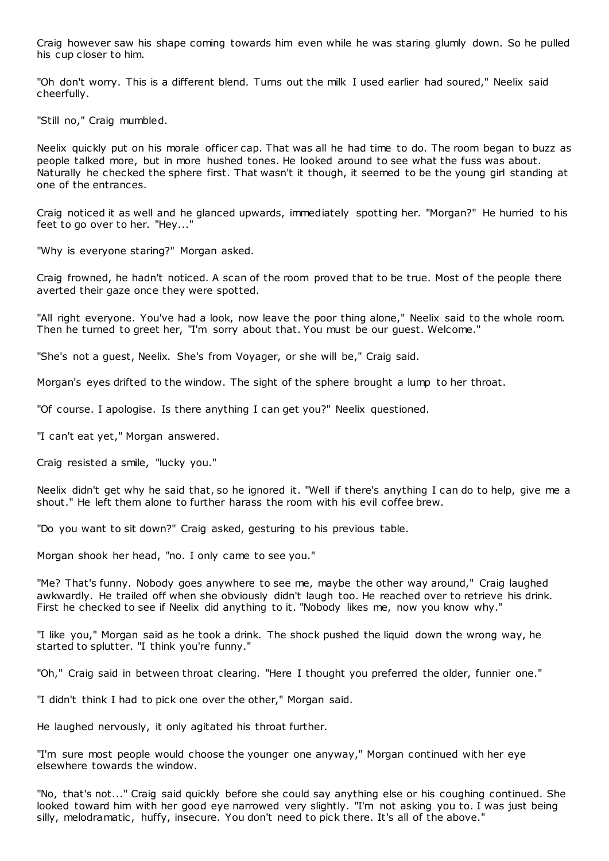Craig however saw his shape coming towards him even while he was staring glumly down. So he pulled his cup closer to him.

"Oh don't worry. This is a different blend. Turns out the milk I used earlier had soured," Neelix said cheerfully.

"Still no," Craig mumbled.

Neelix quickly put on his morale officer cap. That was all he had time to do. The room began to buzz as people talked more, but in more hushed tones. He looked around to see what the fuss was about. Naturally he checked the sphere first. That wasn't it though, it seemed to be the young girl standing at one of the entrances.

Craig noticed it as well and he glanced upwards, immediately spotting her. "Morgan?" He hurried to his feet to go over to her. "Hey..."

"Why is everyone staring?" Morgan asked.

Craig frowned, he hadn't noticed. A scan of the room proved that to be true. Most of the people there averted their gaze once they were spotted.

"All right everyone. You've had a look, now leave the poor thing alone," Neelix said to the whole room. Then he turned to greet her, "I'm sorry about that. You must be our guest. Welcome."

"She's not a guest, Neelix. She's from Voyager, or she will be," Craig said.

Morgan's eyes drifted to the window. The sight of the sphere brought a lump to her throat.

"Of course. I apologise. Is there anything I can get you?" Neelix questioned.

"I can't eat yet," Morgan answered.

Craig resisted a smile, "lucky you."

Neelix didn't get why he said that, so he ignored it. "Well if there's anything I can do to help, give me a shout." He left them alone to further harass the room with his evil coffee brew.

"Do you want to sit down?" Craig asked, gesturing to his previous table.

Morgan shook her head, "no. I only came to see you."

"Me? That's funny. Nobody goes anywhere to see me, maybe the other way around," Craig laughed awkwardly. He trailed off when she obviously didn't laugh too. He reached over to retrieve his drink. First he checked to see if Neelix did anything to it. "Nobody likes me, now you know why."

"I like you," Morgan said as he took a drink. The shock pushed the liquid down the wrong way, he started to splutter. "I think you're funny."

"Oh," Craig said in between throat clearing. "Here I thought you preferred the older, funnier one."

"I didn't think I had to pick one over the other," Morgan said.

He laughed nervously, it only agitated his throat further.

"I'm sure most people would choose the younger one anyway," Morgan continued with her eye elsewhere towards the window.

"No, that's not..." Craig said quickly before she could say anything else or his coughing continued. She looked toward him with her good eye narrowed very slightly. "I'm not asking you to. I was just being silly, melodramatic, huffy, insecure. You don't need to pick there. It's all of the above."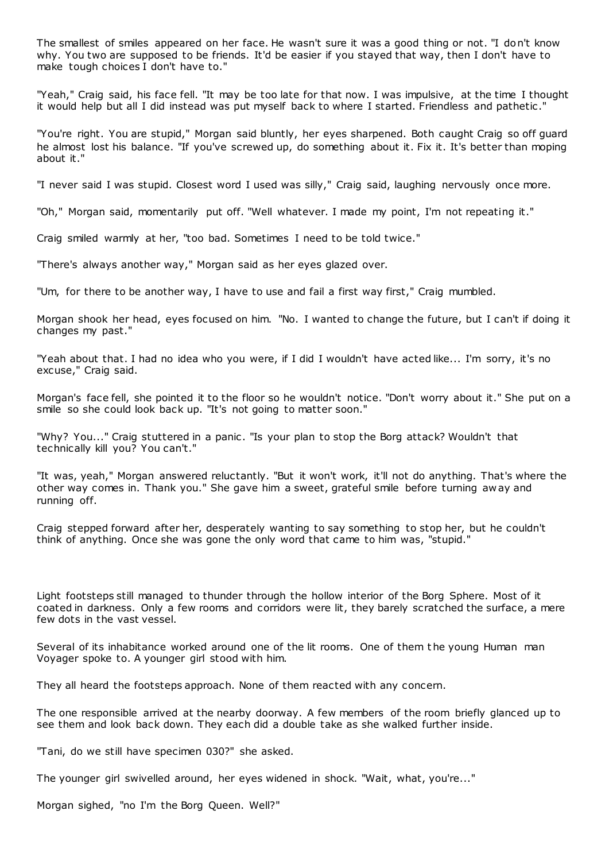The smallest of smiles appeared on her face. He wasn't sure it was a good thing or not. "I don't know why. You two are supposed to be friends. It'd be easier if you stayed that way, then I don't have to make tough choices I don't have to."

"Yeah," Craig said, his face fell. "It may be too late for that now. I was impulsive, at the time I thought it would help but all I did instead was put myself back to where I started. Friendless and pathetic ."

"You're right. You are stupid," Morgan said bluntly, her eyes sharpened. Both caught Craig so off guard he almost lost his balance. "If you've screwed up, do something about it. Fix it. It's better than moping about it."

"I never said I was stupid. Closest word I used was silly," Craig said, laughing nervously once more.

"Oh," Morgan said, momentarily put off. "Well whatever. I made my point, I'm not repeating it."

Craig smiled warmly at her, "too bad. Sometimes I need to be told twice."

"There's always another way," Morgan said as her eyes glazed over.

"Um, for there to be another way, I have to use and fail a first way first," Craig mumbled.

Morgan shook her head, eyes focused on him. "No. I wanted to change the future, but I can't if doing it changes my past."

"Yeah about that. I had no idea who you were, if I did I wouldn't have acted like... I'm sorry, it's no excuse," Craig said.

Morgan's face fell, she pointed it to the floor so he wouldn't notice. "Don't worry about it." She put on a smile so she could look back up. "It's not going to matter soon."

"Why? You..." Craig stuttered in a panic . "Is your plan to stop the Borg attack? Wouldn't that technically kill you? You can't."

"It was, yeah," Morgan answered reluctantly. "But it won't work, it'll not do anything. That's where the other way comes in. Thank you." She gave him a sweet, grateful smile before turning aw ay and running off.

Craig stepped forward after her, desperately wanting to say something to stop her, but he couldn't think of anything. Once she was gone the only word that came to him was, "stupid."

Light footsteps still managed to thunder through the hollow interior of the Borg Sphere. Most of it coated in darkness. Only a few rooms and corridors were lit, they barely scratched the surface, a mere few dots in the vast vessel.

Several of its inhabitance worked around one of the lit rooms. One of them t he young Human man Voyager spoke to. A younger girl stood with him.

They all heard the footsteps approach. None of them reacted with any concern.

The one responsible arrived at the nearby doorway. A few members of the room briefly glanced up to see them and look back down. They each did a double take as she walked further inside.

"Tani, do we still have specimen 030?" she asked.

The younger girl swivelled around, her eyes widened in shock. "Wait, what, you're..."

Morgan sighed, "no I'm the Borg Queen. Well?"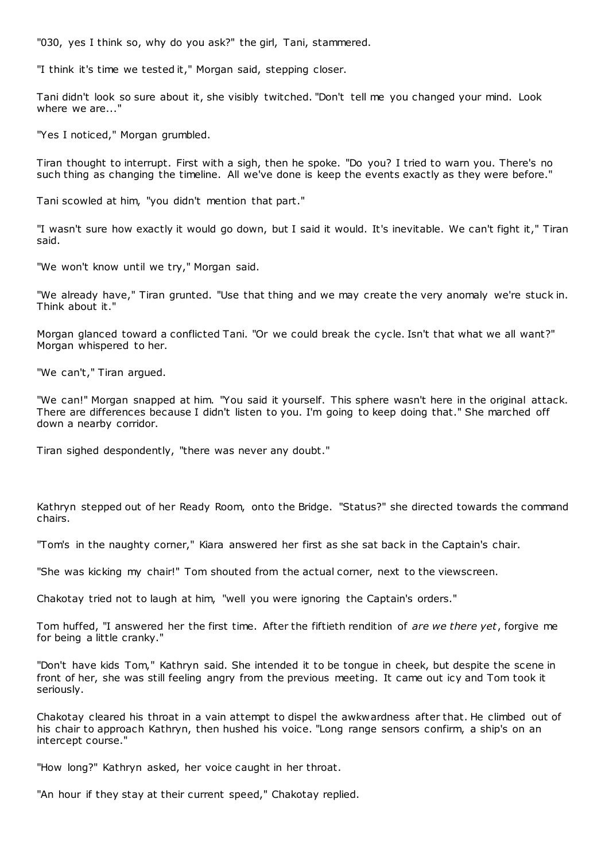"030, yes I think so, why do you ask?" the girl, Tani, stammered.

"I think it's time we tested it," Morgan said, stepping closer.

Tani didn't look so sure about it, she visibly twitched. "Don't tell me you changed your mind. Look where we are...'

"Yes I noticed," Morgan grumbled.

Tiran thought to interrupt. First with a sigh, then he spoke. "Do you? I tried to warn you. There's no such thing as changing the timeline. All we've done is keep the events exactly as they were before."

Tani scowled at him, "you didn't mention that part."

"I wasn't sure how exactly it would go down, but I said it would. It's inevitable. We can't fight it," Tiran said.

"We won't know until we try," Morgan said.

"We already have," Tiran grunted. "Use that thing and we may create the very anomaly we're stuck in. Think about it."

Morgan glanced toward a conflicted Tani. "Or we could break the cycle. Isn't that what we all want?" Morgan whispered to her.

"We can't," Tiran argued.

"We can!" Morgan snapped at him. "You said it yourself. This sphere wasn't here in the original attack. There are differences because I didn't listen to you. I'm going to keep doing that." She marched off down a nearby corridor.

Tiran sighed despondently, "there was never any doubt."

Kathryn stepped out of her Ready Room, onto the Bridge. "Status?" she directed towards the command chairs.

"Tom's in the naughty corner," Kiara answered her first as she sat back in the Captain's chair.

"She was kicking my chair!" Tom shouted from the actual corner, next to the viewscreen.

Chakotay tried not to laugh at him, "well you were ignoring the Captain's orders."

Tom huffed, "I answered her the first time. After the fiftieth rendition of *are we there yet*, forgive me for being a little cranky."

"Don't have kids Tom," Kathryn said. She intended it to be tongue in cheek, but despite the scene in front of her, she was still feeling angry from the previous meeting. It came out icy and Tom took it seriously.

Chakotay cleared his throat in a vain attempt to dispel the awkwardness after that. He climbed out of his chair to approach Kathryn, then hushed his voice. "Long range sensors confirm, a ship's on an intercept course."

"How long?" Kathryn asked, her voice caught in her throat.

"An hour if they stay at their current speed," Chakotay replied.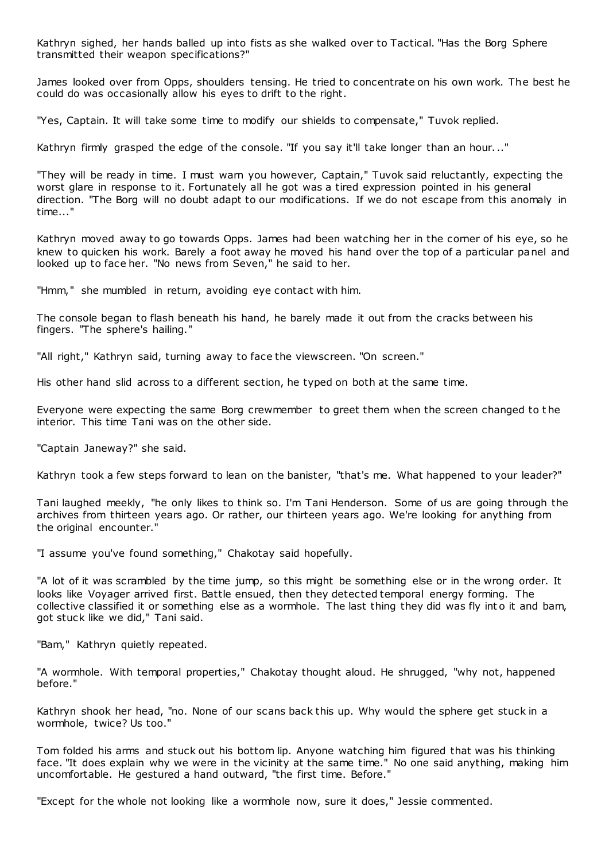Kathryn sighed, her hands balled up into fists as she walked over to Tactical. "Has the Borg Sphere transmitted their weapon specifications?"

James looked over from Opps, shoulders tensing. He tried to concentrate on his own work. The best he could do was occasionally allow his eyes to drift to the right.

"Yes, Captain. It will take some time to modify our shields to compensate," Tuvok replied.

Kathryn firmly grasped the edge of the console. "If you say it'll take longer than an hour..."

"They will be ready in time. I must warn you however, Captain," Tuvok said reluctantly, expecting the worst glare in response to it. Fortunately all he got was a tired expression pointed in his general direction. "The Borg will no doubt adapt to our modifications. If we do not escape from this anomaly in time..."

Kathryn moved away to go towards Opps. James had been watching her in the corner of his eye, so he knew to quicken his work. Barely a foot away he moved his hand over the top of a particular panel and looked up to face her. "No news from Seven," he said to her.

"Hmm," she mumbled in return, avoiding eye contact with him.

The console began to flash beneath his hand, he barely made it out from the cracks between his fingers. "The sphere's hailing."

"All right," Kathryn said, turning away to face the viewscreen. "On screen."

His other hand slid across to a different section, he typed on both at the same time.

Everyone were expecting the same Borg crewmember to greet them when the screen changed to t he interior. This time Tani was on the other side.

"Captain Janeway?" she said.

Kathryn took a few steps forward to lean on the banister, "that's me. What happened to your leader?"

Tani laughed meekly, "he only likes to think so. I'm Tani Henderson. Some of us are going through the archives from thirteen years ago. Or rather, our thirteen years ago. We're looking for anything from the original encounter."

"I assume you've found something," Chakotay said hopefully.

"A lot of it was scrambled by the time jump, so this might be something else or in the wrong order. It looks like Voyager arrived first. Battle ensued, then they detected temporal energy forming. The collective classified it or something else as a wormhole. The last thing they did was fly int o it and bam, got stuck like we did," Tani said.

"Bam," Kathryn quietly repeated.

"A wormhole. With temporal properties," Chakotay thought aloud. He shrugged, "why not, happened before."

Kathryn shook her head, "no. None of our scans back this up. Why would the sphere get stuck in a wormhole, twice? Us too."

Tom folded his arms and stuck out his bottom lip. Anyone watching him figured that was his thinking face. "It does explain why we were in the vicinity at the same time." No one said anything, making him uncomfortable. He gestured a hand outward, "the first time. Before."

"Except for the whole not looking like a wormhole now, sure it does," Jessie commented.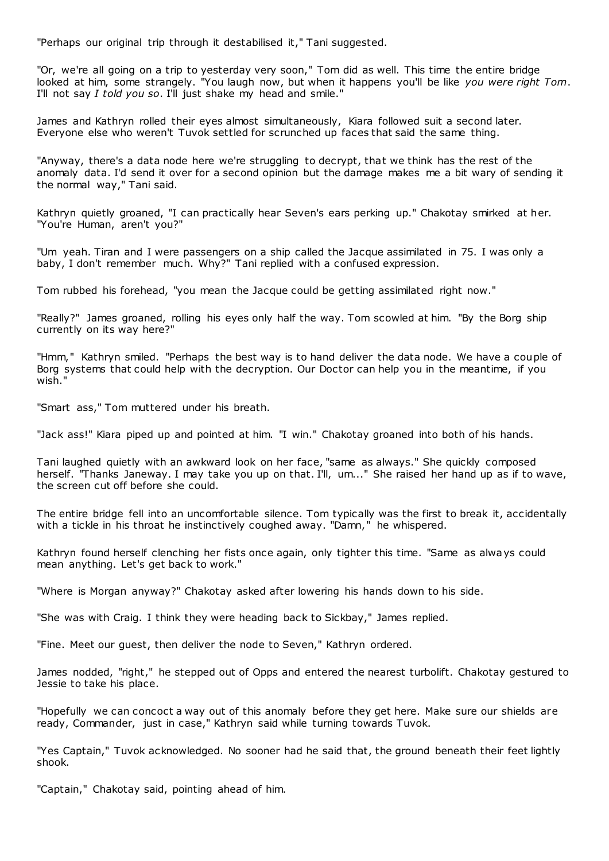"Perhaps our original trip through it destabilised it," Tani suggested.

"Or, we're all going on a trip to yesterday very soon," Tom did as well. This time the entire bridge looked at him, some strangely. "You laugh now, but when it happens you'll be like *you were right Tom*. I'll not say *I told you so*. I'll just shake my head and smile."

James and Kathryn rolled their eyes almost simultaneously, Kiara followed suit a second later. Everyone else who weren't Tuvok settled for scrunched up faces that said the same thing.

"Anyway, there's a data node here we're struggling to decrypt, that we think has the rest of the anomaly data. I'd send it over for a second opinion but the damage makes me a bit wary of sending it the normal way," Tani said.

Kathryn quietly groaned, "I can practically hear Seven's ears perking up." Chakotay smirked at her. "You're Human, aren't you?"

"Um yeah. Tiran and I were passengers on a ship called the Jacque assimilated in 75. I was only a baby, I don't remember much. Why?" Tani replied with a confused expression.

Tom rubbed his forehead, "you mean the Jacque could be getting assimilated right now."

"Really?" James groaned, rolling his eyes only half the way. Tom scowled at him. "By the Borg ship currently on its way here?"

"Hmm," Kathryn smiled. "Perhaps the best way is to hand deliver the data node. We have a couple of Borg systems that could help with the decryption. Our Doctor can help you in the meantime, if you wish."

"Smart ass," Tom muttered under his breath.

"Jack ass!" Kiara piped up and pointed at him. "I win." Chakotay groaned into both of his hands.

Tani laughed quietly with an awkward look on her face, "same as always." She quickly composed herself. "Thanks Janeway. I may take you up on that. I'll, um..." She raised her hand up as if to wave, the screen cut off before she could.

The entire bridge fell into an uncomfortable silence. Tom typically was the first to break it, accidentally with a tickle in his throat he instinctively coughed away. "Damn," he whispered.

Kathryn found herself clenching her fists once again, only tighter this time. "Same as always could mean anything. Let's get back to work."

"Where is Morgan anyway?" Chakotay asked after lowering his hands down to his side.

"She was with Craig. I think they were heading back to Sickbay," James replied.

"Fine. Meet our guest, then deliver the node to Seven," Kathryn ordered.

James nodded, "right," he stepped out of Opps and entered the nearest turbolift. Chakotay gestured to Jessie to take his place.

"Hopefully we can concoct a way out of this anomaly before they get here. Make sure our shields are ready, Commander, just in case," Kathryn said while turning towards Tuvok.

"Yes Captain," Tuvok acknowledged. No sooner had he said that, the ground beneath their feet lightly shook.

"Captain," Chakotay said, pointing ahead of him.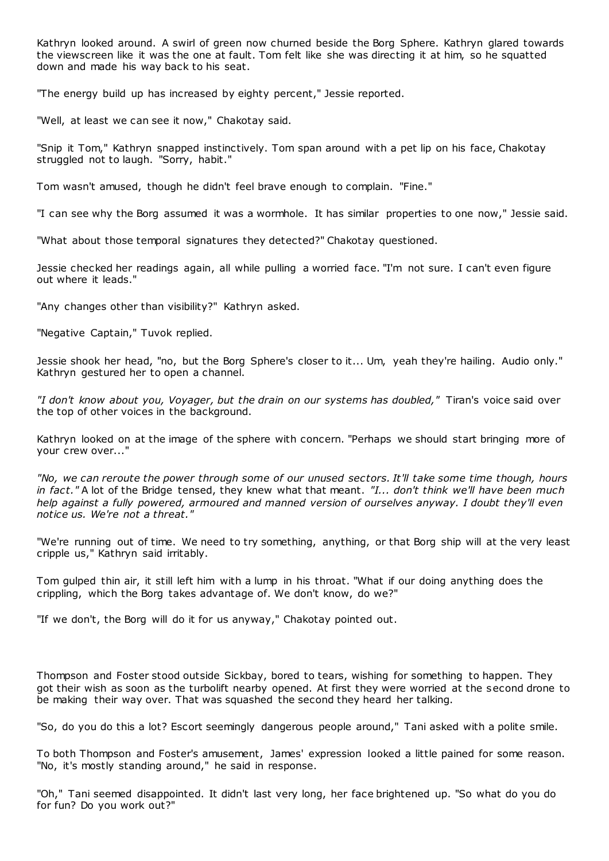Kathryn looked around. A swirl of green now churned beside the Borg Sphere. Kathryn glared towards the viewscreen like it was the one at fault. Tom felt like she was directing it at him, so he squatted down and made his way back to his seat.

"The energy build up has increased by eighty percent," Jessie reported.

"Well, at least we can see it now," Chakotay said.

"Snip it Tom," Kathryn snapped instinctively. Tom span around with a pet lip on his face, Chakotay struggled not to laugh. "Sorry, habit."

Tom wasn't amused, though he didn't feel brave enough to complain. "Fine."

"I can see why the Borg assumed it was a wormhole. It has similar properties to one now," Jessie said.

"What about those temporal signatures they detected?" Chakotay questioned.

Jessie checked her readings again, all while pulling a worried face. "I'm not sure. I can't even figure out where it leads."

"Any changes other than visibility?" Kathryn asked.

"Negative Captain," Tuvok replied.

Jessie shook her head, "no, but the Borg Sphere's closer to it... Um, yeah they're hailing. Audio only." Kathryn gestured her to open a channel.

*"I don't know about you, Voyager, but the drain on our systems has doubled,"* Tiran's voice said over the top of other voices in the background.

Kathryn looked on at the image of the sphere with concern. "Perhaps we should start bringing more of your crew over..."

*"No, we can reroute the power through some of our unused sectors. It'll take some time though, hours in fact."* A lot of the Bridge tensed, they knew what that meant. *"I... don't think we'll have been much help against a fully powered, armoured and manned version of ourselves anyway. I doubt they'll even notice us. We're not a threat."*

"We're running out of time. We need to try something, anything, or that Borg ship will at the very least cripple us," Kathryn said irritably.

Tom gulped thin air, it still left him with a lump in his throat. "What if our doing anything does the crippling, which the Borg takes advantage of. We don't know, do we?"

"If we don't, the Borg will do it for us anyway," Chakotay pointed out.

Thompson and Foster stood outside Sickbay, bored to tears, wishing for something to happen. They got their wish as soon as the turbolift nearby opened. At first they were worried at the second drone to be making their way over. That was squashed the second they heard her talking.

"So, do you do this a lot? Escort seemingly dangerous people around," Tani asked with a polite smile.

To both Thompson and Foster's amusement, James' expression looked a little pained for some reason. "No, it's mostly standing around," he said in response.

"Oh," Tani seemed disappointed. It didn't last very long, her face brightened up. "So what do you do for fun? Do you work out?"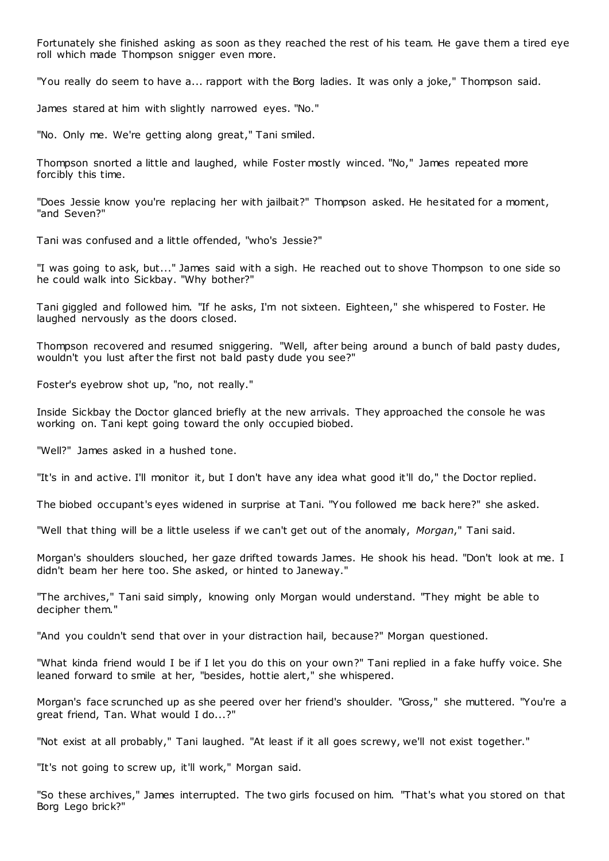Fortunately she finished asking as soon as they reached the rest of his team. He gave them a tired eye roll which made Thompson snigger even more.

"You really do seem to have a... rapport with the Borg ladies. It was only a joke," Thompson said.

James stared at him with slightly narrowed eyes. "No."

"No. Only me. We're getting along great," Tani smiled.

Thompson snorted a little and laughed, while Foster mostly winced. "No," James repeated more forcibly this time.

"Does Jessie know you're replacing her with jailbait?" Thompson asked. He hesitated for a moment, "and Seven?"

Tani was confused and a little offended, "who's Jessie?"

"I was going to ask, but..." James said with a sigh. He reached out to shove Thompson to one side so he could walk into Sickbay. "Why bother?"

Tani giggled and followed him. "If he asks, I'm not sixteen. Eighteen," she whispered to Foster. He laughed nervously as the doors closed.

Thompson recovered and resumed sniggering. "Well, after being around a bunch of bald pasty dudes, wouldn't you lust after the first not bald pasty dude you see?"

Foster's eyebrow shot up, "no, not really."

Inside Sickbay the Doctor glanced briefly at the new arrivals. They approached the console he was working on. Tani kept going toward the only occupied biobed.

"Well?" James asked in a hushed tone.

"It's in and active. I'll monitor it, but I don't have any idea what good it'll do," the Doctor replied.

The biobed occupant's eyes widened in surprise at Tani. "You followed me back here?" she asked.

"Well that thing will be a little useless if we can't get out of the anomaly, *Morgan*," Tani said.

Morgan's shoulders slouched, her gaze drifted towards James. He shook his head. "Don't look at me. I didn't beam her here too. She asked, or hinted to Janeway."

"The archives," Tani said simply, knowing only Morgan would understand. "They might be able to decipher them."

"And you couldn't send that over in your distraction hail, because?" Morgan questioned.

"What kinda friend would I be if I let you do this on your own?" Tani replied in a fake huffy voice. She leaned forward to smile at her, "besides, hottie alert," she whispered.

Morgan's face scrunched up as she peered over her friend's shoulder. "Gross," she muttered. "You're a great friend, Tan. What would I do...?"

"Not exist at all probably," Tani laughed. "At least if it all goes screwy, we'll not exist together."

"It's not going to screw up, it'll work," Morgan said.

"So these archives," James interrupted. The two girls focused on him. "That's what you stored on that Borg Lego brick?"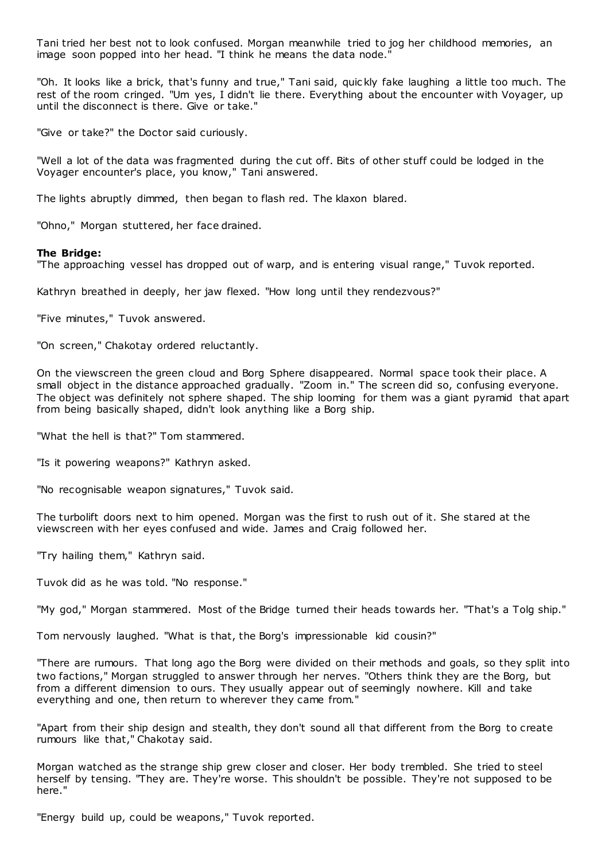Tani tried her best not to look confused. Morgan meanwhile tried to jog her childhood memories, an image soon popped into her head. "I think he means the data node."

"Oh. It looks like a brick, that's funny and true," Tani said, quic kly fake laughing a little too much. The rest of the room cringed. "Um yes, I didn't lie there. Everything about the encounter with Voyager, up until the disconnect is there. Give or take."

"Give or take?" the Doctor said curiously.

"Well a lot of the data was fragmented during the cut off. Bits of other stuff could be lodged in the Voyager encounter's place, you know," Tani answered.

The lights abruptly dimmed, then began to flash red. The klaxon blared.

"Ohno," Morgan stuttered, her face drained.

## **The Bridge:**

"The approaching vessel has dropped out of warp, and is entering visual range," Tuvok reported.

Kathryn breathed in deeply, her jaw flexed. "How long until they rendezvous?"

"Five minutes," Tuvok answered.

"On screen," Chakotay ordered reluctantly.

On the viewscreen the green cloud and Borg Sphere disappeared. Normal space took their place. A small object in the distance approached gradually. "Zoom in." The screen did so, confusing everyone. The object was definitely not sphere shaped. The ship looming for them was a giant pyramid that apart from being basically shaped, didn't look anything like a Borg ship.

"What the hell is that?" Tom stammered.

"Is it powering weapons?" Kathryn asked.

"No recognisable weapon signatures," Tuvok said.

The turbolift doors next to him opened. Morgan was the first to rush out of it. She stared at the viewscreen with her eyes confused and wide. James and Craig followed her.

"Try hailing them," Kathryn said.

Tuvok did as he was told. "No response."

"My god," Morgan stammered. Most of the Bridge turned their heads towards her. "That's a Tolg ship."

Tom nervously laughed. "What is that, the Borg's impressionable kid cousin?"

"There are rumours. That long ago the Borg were divided on their methods and goals, so they split into two factions," Morgan struggled to answer through her nerves. "Others think they are the Borg, but from a different dimension to ours. They usually appear out of seemingly nowhere. Kill and take everything and one, then return to wherever they came from."

"Apart from their ship design and stealth, they don't sound all that different from the Borg to create rumours like that," Chakotay said.

Morgan watched as the strange ship grew closer and closer. Her body trembled. She tried to steel herself by tensing. "They are. They're worse. This shouldn't be possible. They're not supposed to be here."

"Energy build up, could be weapons," Tuvok reported.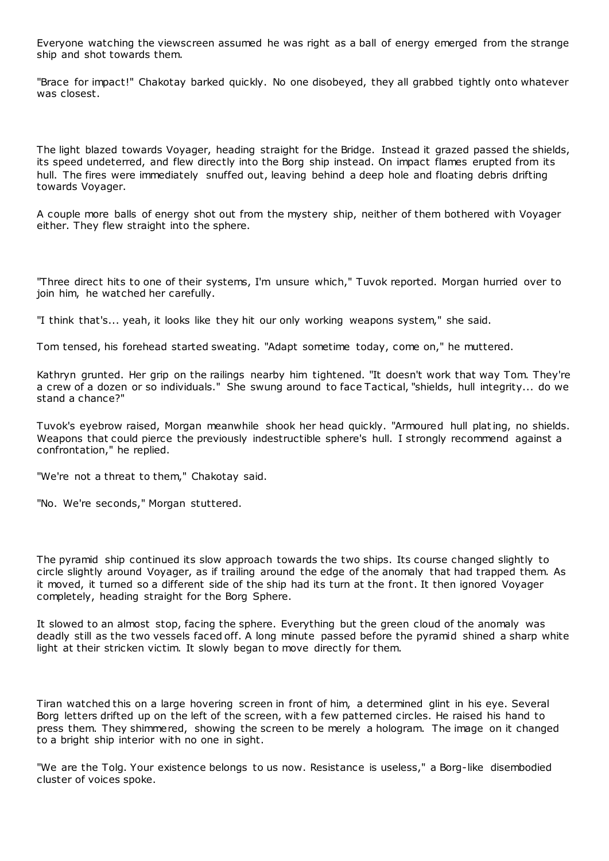Everyone watching the viewscreen assumed he was right as a ball of energy emerged from the strange ship and shot towards them.

"Brace for impact!" Chakotay barked quickly. No one disobeyed, they all grabbed tightly onto whatever was closest.

The light blazed towards Voyager, heading straight for the Bridge. Instead it grazed passed the shields, its speed undeterred, and flew directly into the Borg ship instead. On impact flames erupted from its hull. The fires were immediately snuffed out, leaving behind a deep hole and floating debris drifting towards Voyager.

A couple more balls of energy shot out from the mystery ship, neither of them bothered with Voyager either. They flew straight into the sphere.

"Three direct hits to one of their systems, I'm unsure which," Tuvok reported. Morgan hurried over to join him, he watched her carefully.

"I think that's... yeah, it looks like they hit our only working weapons system," she said.

Tom tensed, his forehead started sweating. "Adapt sometime today, come on," he muttered.

Kathryn grunted. Her grip on the railings nearby him tightened. "It doesn't work that way Tom. They're a crew of a dozen or so individuals." She swung around to face Tactical, "shields, hull integrity... do we stand a chance?"

Tuvok's eyebrow raised, Morgan meanwhile shook her head quickly. "Armoured hull plating, no shields. Weapons that could pierce the previously indestructible sphere's hull. I strongly recommend against a confrontation," he replied.

"We're not a threat to them," Chakotay said.

"No. We're seconds," Morgan stuttered.

The pyramid ship continued its slow approach towards the two ships. Its course changed slightly to circle slightly around Voyager, as if trailing around the edge of the anomaly that had trapped them. As it moved, it turned so a different side of the ship had its turn at the front. It then ignored Voyager completely, heading straight for the Borg Sphere.

It slowed to an almost stop, facing the sphere. Everything but the green cloud of the anomaly was deadly still as the two vessels faced off. A long minute passed before the pyramid shined a sharp white light at their stricken victim. It slowly began to move directly for them.

Tiran watched this on a large hovering screen in front of him, a determined glint in his eye. Several Borg letters drifted up on the left of the screen, with a few patterned circles. He raised his hand to press them. They shimmered, showing the screen to be merely a hologram. The image on it changed to a bright ship interior with no one in sight.

"We are the Tolg. Your existence belongs to us now. Resistance is useless," a Borg-like disembodied cluster of voices spoke.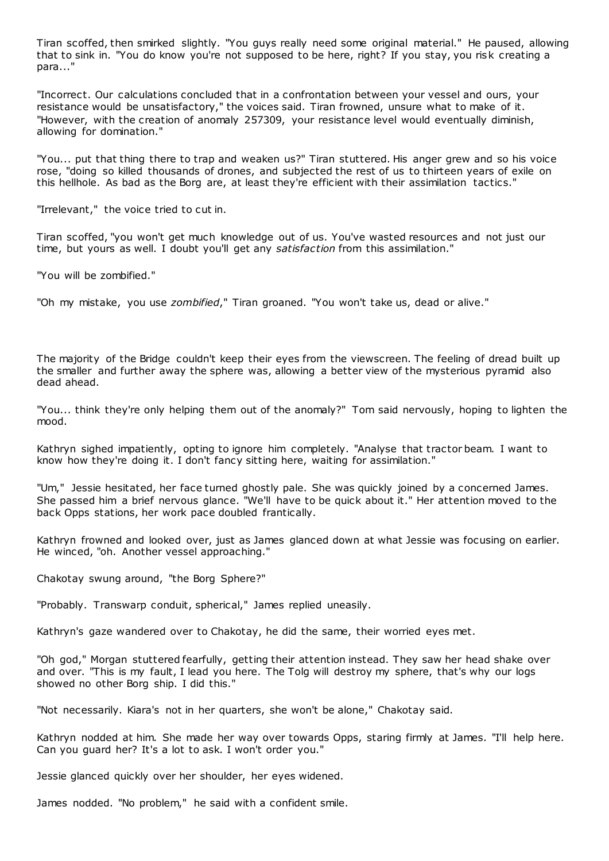Tiran scoffed, then smirked slightly. "You guys really need some original material." He paused, allowing that to sink in. "You do know you're not supposed to be here, right? If you stay, you risk creating a para..."

"Incorrect. Our calculations concluded that in a confrontation between your vessel and ours, your resistance would be unsatisfactory," the voices said. Tiran frowned, unsure what to make of it. "However, with the creation of anomaly 257309, your resistance level would eventually diminish, allowing for domination."

"You... put that thing there to trap and weaken us?" Tiran stuttered. His anger grew and so his voice rose, "doing so killed thousands of drones, and subjected the rest of us to thirteen years of exile on this hellhole. As bad as the Borg are, at least they're efficient with their assimilation tactics."

"Irrelevant," the voice tried to cut in.

Tiran scoffed, "you won't get much knowledge out of us. You've wasted resources and not just our time, but yours as well. I doubt you'll get any *satisfaction* from this assimilation."

"You will be zombified."

"Oh my mistake, you use *zombified*," Tiran groaned. "You won't take us, dead or alive."

The majority of the Bridge couldn't keep their eyes from the viewscreen. The feeling of dread built up the smaller and further away the sphere was, allowing a better view of the mysterious pyramid also dead ahead.

"You... think they're only helping them out of the anomaly?" Tom said nervously, hoping to lighten the mood.

Kathryn sighed impatiently, opting to ignore him completely. "Analyse that tractor beam. I want to know how they're doing it. I don't fancy sitting here, waiting for assimilation."

"Um," Jessie hesitated, her face turned ghostly pale. She was quickly joined by a concerned James. She passed him a brief nervous glance. "We'll have to be quick about it." Her attention moved to the back Opps stations, her work pace doubled frantically.

Kathryn frowned and looked over, just as James glanced down at what Jessie was focusing on earlier. He winced, "oh. Another vessel approaching."

Chakotay swung around, "the Borg Sphere?"

"Probably. Transwarp conduit, spherical," James replied uneasily.

Kathryn's gaze wandered over to Chakotay, he did the same, their worried eyes met.

"Oh god," Morgan stuttered fearfully, getting their attention instead. They saw her head shake over and over. "This is my fault, I lead you here. The Tolg will destroy my sphere, that's why our logs showed no other Borg ship. I did this."

"Not necessarily. Kiara's not in her quarters, she won't be alone," Chakotay said.

Kathryn nodded at him. She made her way over towards Opps, staring firmly at James. "I'll help here. Can you guard her? It's a lot to ask. I won't order you."

Jessie glanced quickly over her shoulder, her eyes widened.

James nodded. "No problem," he said with a confident smile.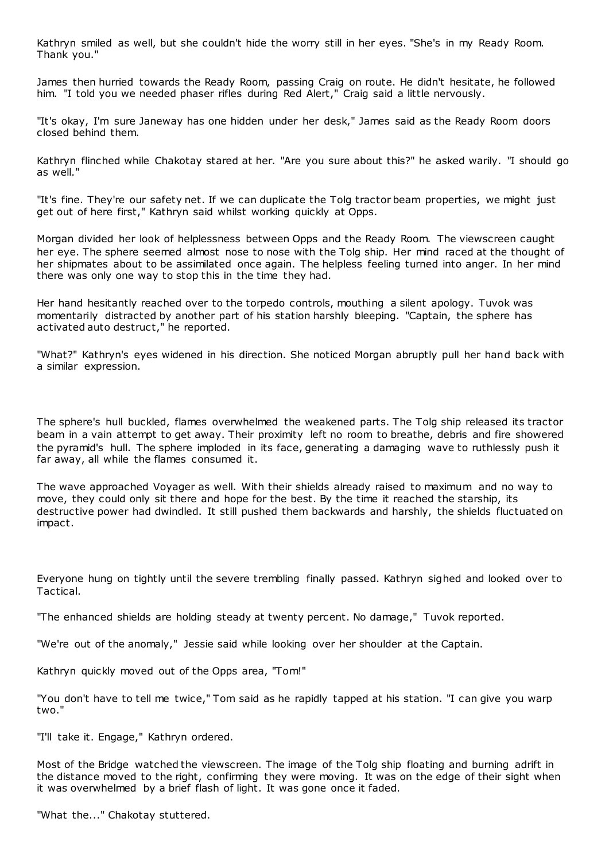Kathryn smiled as well, but she couldn't hide the worry still in her eyes. "She's in my Ready Room. Thank you."

James then hurried towards the Ready Room, passing Craig on route. He didn't hesitate, he followed him. "I told you we needed phaser rifles during Red Alert," Craig said a little nervously.

"It's okay, I'm sure Janeway has one hidden under her desk," James said as the Ready Room doors closed behind them.

Kathryn flinched while Chakotay stared at her. "Are you sure about this?" he asked warily. "I should go as well."

"It's fine. They're our safety net. If we can duplicate the Tolg tractor beam properties, we might just get out of here first," Kathryn said whilst working quickly at Opps.

Morgan divided her look of helplessness between Opps and the Ready Room. The viewscreen caught her eye. The sphere seemed almost nose to nose with the Tolg ship. Her mind raced at the thought of her shipmates about to be assimilated once again. The helpless feeling turned into anger. In her mind there was only one way to stop this in the time they had.

Her hand hesitantly reached over to the torpedo controls, mouthing a silent apology. Tuvok was momentarily distracted by another part of his station harshly bleeping. "Captain, the sphere has activated auto destruct," he reported.

"What?" Kathryn's eyes widened in his direction. She noticed Morgan abruptly pull her hand back with a similar expression.

The sphere's hull buckled, flames overwhelmed the weakened parts. The Tolg ship released its tractor beam in a vain attempt to get away. Their proximity left no room to breathe, debris and fire showered the pyramid's hull. The sphere imploded in its face, generating a damaging wave to ruthlessly push it far away, all while the flames consumed it.

The wave approached Voyager as well. With their shields already raised to maximum and no way to move, they could only sit there and hope for the best. By the time it reached the starship, its destructive power had dwindled. It still pushed them backwards and harshly, the shields fluctuated on impact.

Everyone hung on tightly until the severe trembling finally passed. Kathryn sighed and looked over to Tactical.

"The enhanced shields are holding steady at twenty percent. No damage," Tuvok reported.

"We're out of the anomaly," Jessie said while looking over her shoulder at the Captain.

Kathryn quickly moved out of the Opps area, "Tom!"

"You don't have to tell me twice," Tom said as he rapidly tapped at his station. "I can give you warp two."

"I'll take it. Engage," Kathryn ordered.

Most of the Bridge watched the viewscreen. The image of the Tolg ship floating and burning adrift in the distance moved to the right, confirming they were moving. It was on the edge of their sight when it was overwhelmed by a brief flash of light. It was gone once it faded.

"What the..." Chakotay stuttered.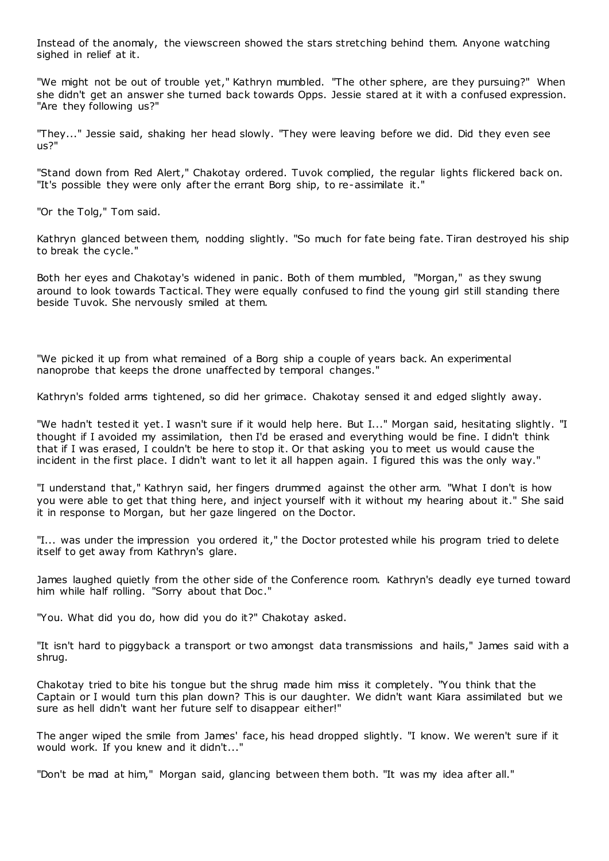Instead of the anomaly, the viewscreen showed the stars stretching behind them. Anyone watching sighed in relief at it.

"We might not be out of trouble yet," Kathryn mumbled. "The other sphere, are they pursuing?" When she didn't get an answer she turned back towards Opps. Jessie stared at it with a confused expression. "Are they following us?"

"They..." Jessie said, shaking her head slowly. "They were leaving before we did. Did they even see us?"

"Stand down from Red Alert," Chakotay ordered. Tuvok complied, the regular lights flickered back on. "It's possible they were only after the errant Borg ship, to re-assimilate it."

"Or the Tolg," Tom said.

Kathryn glanced between them, nodding slightly. "So much for fate being fate. Tiran destroyed his ship to break the cycle."

Both her eyes and Chakotay's widened in panic. Both of them mumbled, "Morgan," as they swung around to look towards Tactical. They were equally confused to find the young girl still standing there beside Tuvok. She nervously smiled at them.

"We picked it up from what remained of a Borg ship a couple of years back. An experimental nanoprobe that keeps the drone unaffected by temporal changes."

Kathryn's folded arms tightened, so did her grimace. Chakotay sensed it and edged slightly away.

"We hadn't tested it yet. I wasn't sure if it would help here. But I..." Morgan said, hesitating slightly. "I thought if I avoided my assimilation, then I'd be erased and everything would be fine. I didn't think that if I was erased, I couldn't be here to stop it. Or that asking you to meet us would cause the incident in the first place. I didn't want to let it all happen again. I figured this was the only way."

"I understand that," Kathryn said, her fingers drummed against the other arm. "What I don't is how you were able to get that thing here, and inject yourself with it without my hearing about it." She said it in response to Morgan, but her gaze lingered on the Doctor.

"I... was under the impression you ordered it," the Doctor protested while his program tried to delete itself to get away from Kathryn's glare.

James laughed quietly from the other side of the Conference room. Kathryn's deadly eye turned toward him while half rolling. "Sorry about that Doc ."

"You. What did you do, how did you do it?" Chakotay asked.

"It isn't hard to piggyback a transport or two amongst data transmissions and hails," James said with a shrug.

Chakotay tried to bite his tongue but the shrug made him miss it completely. "You think that the Captain or I would turn this plan down? This is our daughter. We didn't want Kiara assimilated but we sure as hell didn't want her future self to disappear either!"

The anger wiped the smile from James' face, his head dropped slightly. "I know. We weren't sure if it would work. If you knew and it didn't..."

"Don't be mad at him," Morgan said, glancing between them both. "It was my idea after all."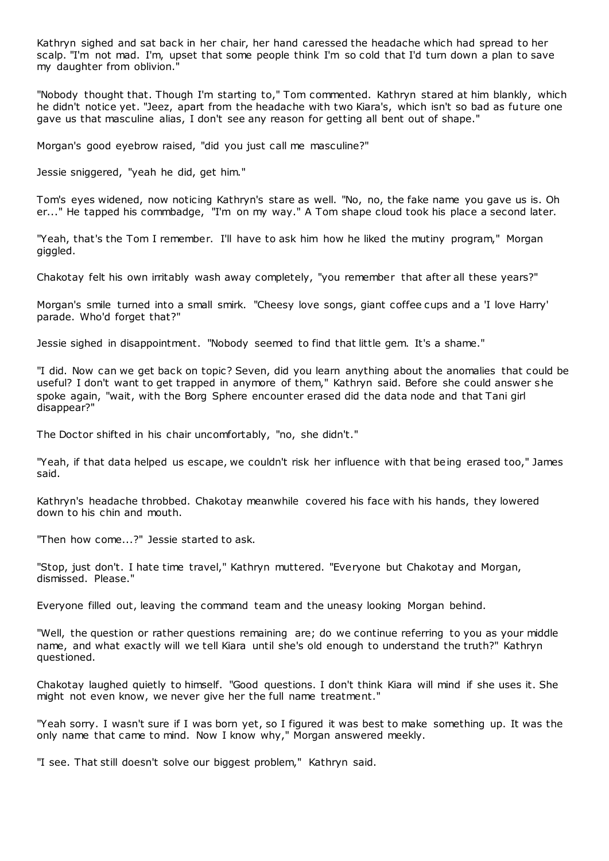Kathryn sighed and sat back in her chair, her hand caressed the headache which had spread to her scalp. "I'm not mad. I'm, upset that some people think I'm so cold that I'd turn down a plan to save my daughter from oblivion."

"Nobody thought that. Though I'm starting to," Tom commented. Kathryn stared at him blankly, which he didn't notice yet. "Jeez, apart from the headache with two Kiara's, which isn't so bad as future one gave us that masculine alias, I don't see any reason for getting all bent out of shape."

Morgan's good eyebrow raised, "did you just call me masculine?"

Jessie sniggered, "yeah he did, get him."

Tom's eyes widened, now noticing Kathryn's stare as well. "No, no, the fake name you gave us is. Oh er..." He tapped his commbadge, "I'm on my way." A Tom shape cloud took his place a second later.

"Yeah, that's the Tom I remember. I'll have to ask him how he liked the mutiny program," Morgan giggled.

Chakotay felt his own irritably wash away completely, "you remember that after all these years?"

Morgan's smile turned into a small smirk. "Cheesy love songs, giant coffee cups and a 'I love Harry' parade. Who'd forget that?"

Jessie sighed in disappointment. "Nobody seemed to find that little gem. It's a shame."

"I did. Now can we get back on topic? Seven, did you learn anything about the anomalies that could be useful? I don't want to get trapped in anymore of them," Kathryn said. Before she could answer she spoke again, "wait, with the Borg Sphere encounter erased did the data node and that Tani girl disappear?"

The Doctor shifted in his chair uncomfortably, "no, she didn't."

"Yeah, if that data helped us escape, we couldn't risk her influence with that being erased too," James said.

Kathryn's headache throbbed. Chakotay meanwhile covered his face with his hands, they lowered down to his chin and mouth.

"Then how come...?" Jessie started to ask.

"Stop, just don't. I hate time travel," Kathryn muttered. "Everyone but Chakotay and Morgan, dismissed. Please."

Everyone filled out, leaving the command team and the uneasy looking Morgan behind.

"Well, the question or rather questions remaining are; do we continue referring to you as your middle name, and what exactly will we tell Kiara until she's old enough to understand the truth?" Kathryn questioned.

Chakotay laughed quietly to himself. "Good questions. I don't think Kiara will mind if she uses it. She might not even know, we never give her the full name treatment."

"Yeah sorry. I wasn't sure if I was born yet, so I figured it was best to make something up. It was the only name that came to mind. Now I know why," Morgan answered meekly.

"I see. That still doesn't solve our biggest problem," Kathryn said.